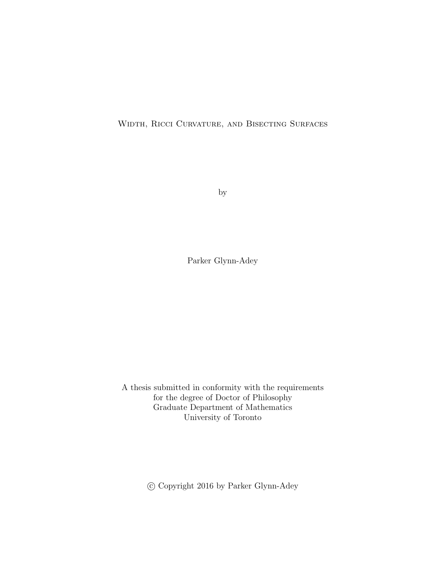<span id="page-0-0"></span>Width, Ricci Curvature, and Bisecting Surfaces

by

Parker Glynn-Adey

A thesis submitted in conformity with the requirements for the degree of Doctor of Philosophy Graduate Department of Mathematics University of Toronto

c Copyright 2016 by Parker Glynn-Adey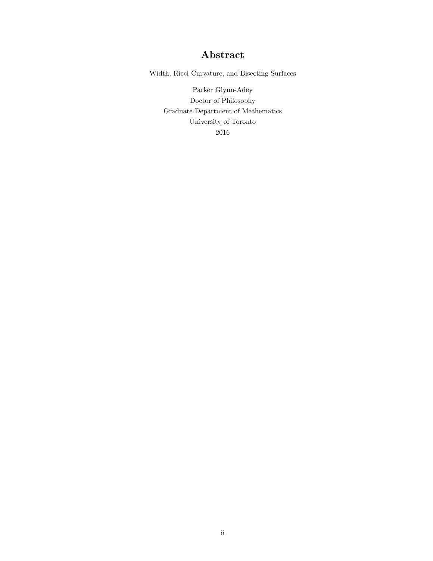### Abstract

Width, Ricci Curvature, and Bisecting Surfaces

Parker Glynn-Adey Doctor of Philosophy Graduate Department of Mathematics University of Toronto 2016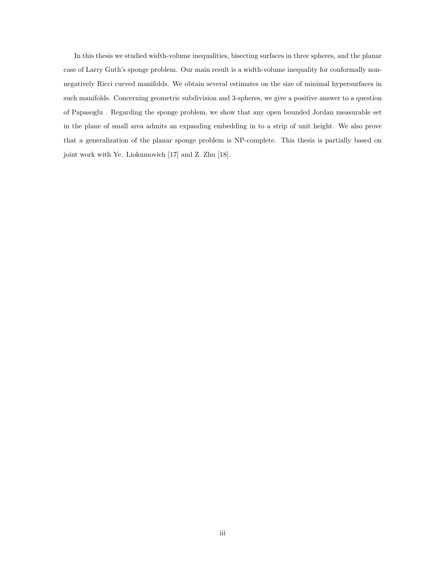In this thesis we studied width-volume inequalities, bisecting surfaces in three spheres, and the planar case of Larry Guth's sponge problem. Our main result is a width-volume inequality for conformally nonnegatively Ricci curved manifolds. We obtain several estimates on the size of minimal hypersurfaces in such manifolds. Concerning geometric subdivision and 3-spheres, we give a positive answer to a question of Papasoglu . Regarding the sponge problem, we show that any open bounded Jordan measurable set in the plane of small area admits an expanding embedding in to a strip of unit height. We also prove that a generalization of the planar sponge problem is NP-complete. This thesis is partially based on joint work with Ye. Liokumovich [\[17\]](#page-40-0) and Z. Zhu [\[18\]](#page-40-1).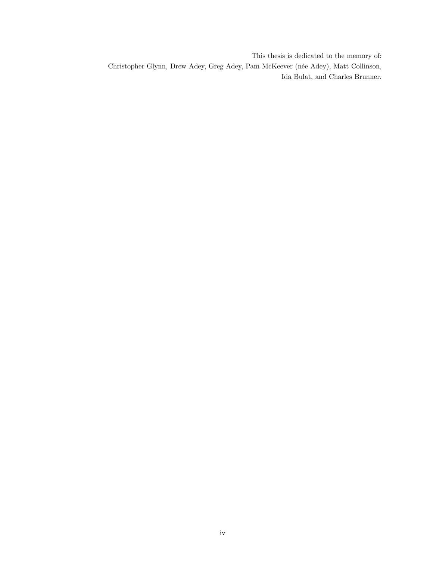This thesis is dedicated to the memory of: Christopher Glynn, Drew Adey, Greg Adey, Pam McKeever (née Adey), Matt Collinson, Ida Bulat, and Charles Brunner.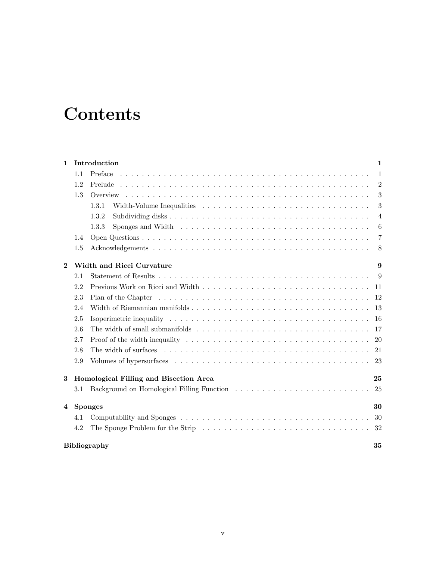# **Contents**

| 1            |                                        | Introduction                                                                                                        | 1                |  |
|--------------|----------------------------------------|---------------------------------------------------------------------------------------------------------------------|------------------|--|
|              | 1.1                                    | Preface                                                                                                             | $\mathbf{1}$     |  |
|              | 1.2                                    |                                                                                                                     | $\overline{2}$   |  |
|              | 1.3                                    |                                                                                                                     | 3                |  |
|              |                                        | 1.3.1                                                                                                               | 3                |  |
|              |                                        | 1.3.2                                                                                                               | $\overline{4}$   |  |
|              |                                        | Sponges and Width $\dots \dots \dots \dots \dots \dots \dots \dots \dots \dots \dots \dots \dots \dots$<br>1.3.3    | $\boldsymbol{6}$ |  |
|              | 1.4                                    |                                                                                                                     | 7                |  |
|              | 1.5                                    |                                                                                                                     | 8                |  |
| $\mathbf{2}$ |                                        | Width and Ricci Curvature                                                                                           | 9                |  |
|              | 2.1                                    |                                                                                                                     | 9                |  |
|              | 2.2                                    |                                                                                                                     | -11              |  |
|              | 2.3                                    |                                                                                                                     | 12               |  |
|              | 2.4                                    |                                                                                                                     | 13               |  |
|              | 2.5                                    |                                                                                                                     | <b>16</b>        |  |
|              | 2.6                                    |                                                                                                                     | 17               |  |
|              | 2.7                                    | Proof of the width inequality $\dots \dots \dots \dots \dots \dots \dots \dots \dots \dots \dots \dots \dots \dots$ | 20               |  |
|              | 2.8                                    |                                                                                                                     | 21               |  |
|              | 2.9                                    |                                                                                                                     | 23               |  |
| 3            | Homological Filling and Bisection Area |                                                                                                                     | 25               |  |
|              | 3.1                                    | Background on Homological Filling Function                                                                          | 25               |  |
| 4            | <b>Sponges</b>                         |                                                                                                                     | 30               |  |
|              | 4.1                                    |                                                                                                                     | 30               |  |
|              | 4.2                                    |                                                                                                                     | 32               |  |
|              | <b>Bibliography</b><br>35              |                                                                                                                     |                  |  |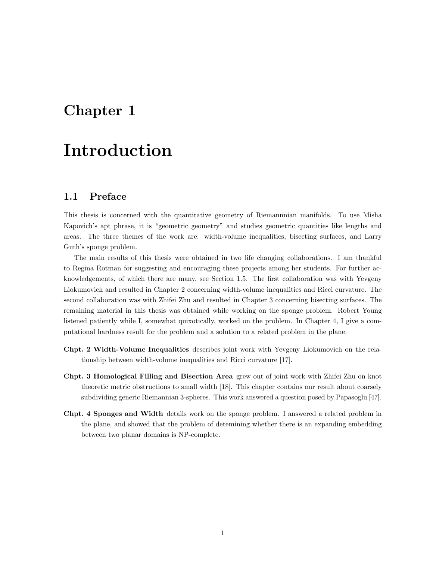## <span id="page-5-0"></span>Chapter 1

# Introduction

#### <span id="page-5-1"></span>1.1 Preface

This thesis is concerned with the quantitative geometry of Riemannnian manifolds. To use Misha Kapovich's apt phrase, it is "geometric geometry" and studies geometric quantities like lengths and areas. The three themes of the work are: width-volume inequalities, bisecting surfaces, and Larry Guth's sponge problem.

The main results of this thesis were obtained in two life changing collaborations. I am thankful to Regina Rotman for suggesting and encouraging these projects among her students. For further acknowledgements, of which there are many, see Section [1.5.](#page-12-0) The first collaboration was with Yevgeny Liokumovich and resulted in Chapter [2](#page-13-0) concerning width-volume inequalities and Ricci curvature. The second collaboration was with Zhifei Zhu and resulted in Chapter [3](#page-29-0) concerning bisecting surfaces. The remaining material in this thesis was obtained while working on the sponge problem. Robert Young listened patiently while I, somewhat quixotically, worked on the problem. In Chapter [4,](#page-34-0) I give a computational hardness result for the problem and a solution to a related problem in the plane.

- Chpt. [2](#page-13-0) Width-Volume Inequalities describes joint work with Yevgeny Liokumovich on the relationship between width-volume inequalities and Ricci curvature [\[17\]](#page-40-0).
- Chpt. [3](#page-29-0) Homological Filling and Bisection Area grew out of joint work with Zhifei Zhu on knot theoretic metric obstructions to small width [\[18\]](#page-40-1). This chapter contains our result about coarsely subdividing generic Riemannian 3-spheres. This work answered a question posed by Papasoglu [\[47\]](#page-41-0).
- Chpt. [4](#page-34-0) Sponges and Width details work on the sponge problem. I answered a related problem in the plane, and showed that the problem of detemining whether there is an expanding embedding between two planar domains is NP-complete.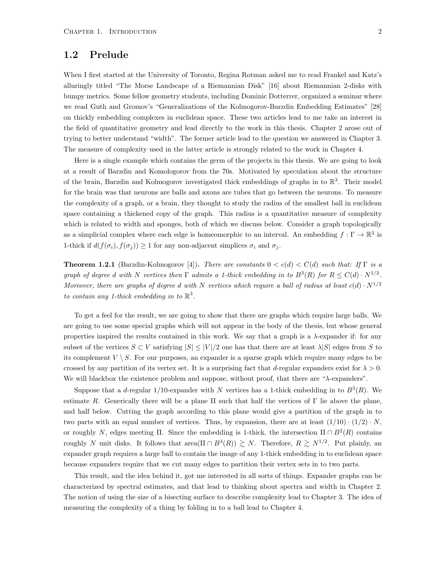#### <span id="page-6-0"></span>1.2 Prelude

When I first started at the University of Toronto, Regina Rotman asked me to read Frankel and Katz's alluringly titled "The Morse Landscape of a Riemannian Disk" [\[16\]](#page-40-2) about Riemannian 2-disks with bumpy metrics. Some fellow geometry students, including Dominic Dotterrer, organized a seminar where we read Guth and Gromov's "Generalizations of the Kolmogorov-Barzdin Embedding Estimates" [\[28\]](#page-40-3) on thickly embedding complexes in euclidean space. These two articles lead to me take an interest in the field of quantitative geometry and lead directly to the work in this thesis. Chapter [2](#page-13-0) arose out of trying to better understand "width". The former article lead to the question we answered in Chapter [3.](#page-29-0) The measure of complexity used in the latter article is strongly related to the work in Chapter [4.](#page-34-0)

Here is a single example which contains the germ of the projects in this thesis. We are going to look at a result of Barzdin and Komologorov from the 70s. Motivated by speculation about the structure of the brain, Barzdin and Kolmogorov investigated thick embeddings of graphs in to  $\mathbb{R}^3$ . Their model for the brain was that neurons are balls and axons are tubes that go between the neurons. To measure the complexity of a graph, or a brain, they thought to study the radius of the smallest ball in euclidean space containing a thickened copy of the graph. This radius is a quantitative measure of complexity which is related to width and sponges, both of which we discuss below. Consider a graph topologically as a simplicial complex where each edge is homeomorphic to an interval. An embedding  $f : \Gamma \to \mathbb{R}^3$  is 1-thick if  $d(f(\sigma_i), f(\sigma_j)) \geq 1$  for any non-adjacent simplices  $\sigma_i$  and  $\sigma_j$ .

**Theorem 1.2.1** (Barzdin-Kolmogorov [\[4\]](#page-39-0)). There are constants  $0 < c(d) < C(d)$  such that: If  $\Gamma$  is a graph of degree d with N vertices then  $\Gamma$  admits a 1-thick embedding in to  $B^3(R)$  for  $R \leq C(d) \cdot N^{1/2}$ . Moreover, there are graphs of degree d with N vertices which require a ball of radius at least  $c(d) \cdot N^{1/2}$ to contain any 1-thick embedding in to  $\mathbb{R}^3$ .

To get a feel for the result, we are going to show that there are graphs which require large balls. We are going to use some special graphs which will not appear in the body of the thesis, but whose general properties inspired the results contained in this work. We say that a graph is a  $\lambda$ -expander if: for any subset of the vertices  $S \subset V$  satisfying  $|S| \leq |V|/2$  one has that there are at least  $\lambda|S|$  edges from S to its complement  $V \setminus S$ . For our purposes, an expander is a sparse graph which require many edges to be crossed by any partition of its vertex set. It is a surprising fact that d-regular expanders exist for  $\lambda > 0$ . We will blackbox the existence problem and suppose, without proof, that there are "λ-expanders".

Suppose that a d-regular 1/10-expander with N vertices has a 1-thick embedding in to  $B^3(R)$ . We estimate R. Generically there will be a plane  $\Pi$  such that half the vertices of  $\Gamma$  lie above the plane, and half below. Cutting the graph according to this plane would give a partition of the graph in to two parts with an equal number of vertices. Thus, by expansion, there are at least  $(1/10) \cdot (1/2) \cdot N$ , or roughly N, edges meeting  $\Pi$ . Since the embedding is 1-thick, the intersection  $\Pi \cap B^2(R)$  contains roughly N unit disks. It follows that area $(\Pi \cap B^3(R)) \geq N$ . Therefore,  $R \geq N^{1/2}$ . Put plainly, an expander graph requires a large ball to contain the image of any 1-thick embedding in to euclidean space because expanders require that we cut many edges to partition their vertex sets in to two parts.

This result, and the idea behind it, got me interested in all sorts of things. Expander graphs can be characterized by spectral estimates, and that lead to thinking about spectra and width in Chapter [2.](#page-13-0) The notion of using the size of a bisecting surface to describe complexity lead to Chapter [3.](#page-29-0) The idea of measuring the complexity of a thing by folding in to a ball lead to Chapter [4.](#page-34-0)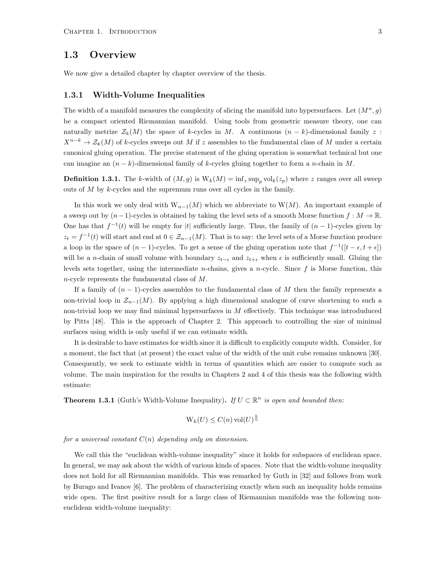#### <span id="page-7-0"></span>1.3 Overview

We now give a detailed chapter by chapter overview of the thesis.

#### <span id="page-7-1"></span>1.3.1 Width-Volume Inequalities

The width of a manifold measures the complexity of slicing the manifold into hypersurfaces. Let  $(M^n, g)$ be a compact oriented Riemannian manifold. Using tools from geometric measure theory, one can naturally metrize  $\mathcal{Z}_k(M)$  the space of k-cycles in M. A continuous  $(n-k)$ -dimensional family z:  $X^{n-k} \to \mathcal{Z}_k(M)$  of k-cycles sweeps out M if z assembles to the fundamental class of M under a certain canonical gluing operation. The precise statement of the gluing operation is somewhat technical but one can imagine an  $(n - k)$ -dimensional family of k-cycles gluing together to form a *n*-chain in M.

**Definition 1.3.1.** The k-width of  $(M, g)$  is  $W_k(M) = \inf_z \sup_p \mathrm{vol}_k(z_p)$  where z ranges over all sweep outs of  $M$  by  $k$ -cycles and the supremum runs over all cycles in the family.

In this work we only deal with  $W_{n-1}(M)$  which we abbreviate to  $W(M)$ . An important example of a sweep out by  $(n-1)$ -cycles is obtained by taking the level sets of a smooth Morse function  $f : M \to \mathbb{R}$ . One has that  $f^{-1}(t)$  will be empty for |t| sufficiently large. Thus, the family of  $(n-1)$ -cycles given by  $z_t = f^{-1}(t)$  will start and end at  $0 \in \mathcal{Z}_{n-1}(M)$ . That is to say: the level sets of a Morse function produce a loop in the space of  $(n-1)$ -cycles. To get a sense of the gluing operation note that  $f^{-1}([t-\epsilon, t+\epsilon])$ will be a n-chain of small volume with boundary  $z_{t-\epsilon}$  and  $z_{t+\epsilon}$  when  $\epsilon$  is sufficiently small. Gluing the levels sets together, using the intermediate *n*-chains, gives a *n*-cycle. Since  $f$  is Morse function, this n-cycle represents the fundamental class of M.

If a family of  $(n-1)$ -cycles assembles to the fundamental class of M then the family represents a non-trivial loop in  $\mathcal{Z}_{n-1}(M)$ . By applying a high dimensional analogue of curve shortening to such a non-trivial loop we may find minimal hypersurfaces in  $M$  effectively. This technique was introduduced by Pitts [\[48\]](#page-41-1). This is the approach of Chapter [2.](#page-13-0) This approach to controlling the size of minimal surfaces using width is only useful if we can estimate width.

It is desirable to have estimates for width since it is difficult to explicitly compute width. Consider, for a moment, the fact that (at present) the exact value of the width of the unit cube remains unknown [\[30\]](#page-40-4). Consequently, we seek to estimate width in terms of quantities which are easier to compute such as volume. The main inspiration for the results in Chapters [2](#page-13-0) and [4](#page-34-0) of this thesis was the following width estimate:

**Theorem 1.3.1** (Guth's Width-Volume Inequality). If  $U \subset \mathbb{R}^n$  is open and bounded then:

$$
\mathrm{W}_k(U) \le C(n) \operatorname{vol}(U)^{\frac{k}{n}}
$$

for a universal constant  $C(n)$  depending only on dimension.

We call this the "euclidean width-volume inequality" since it holds for subspaces of euclidean space. In general, we may ask about the width of various kinds of spaces. Note that the width-volume inequality does not hold for all Riemannian manifolds. This was remarked by Guth in [\[32\]](#page-40-5) and follows from work by Burago and Ivanov [\[6\]](#page-39-1). The problem of characterizing exactly when such an inequality holds remains wide open. The first positive result for a large class of Riemannian manifolds was the following noneuclidean width-volume inequality: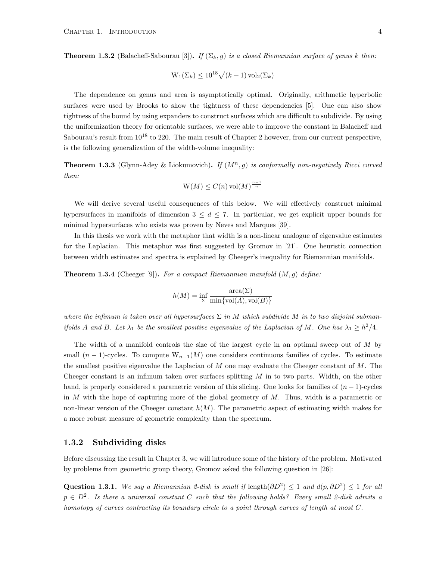**Theorem 1.3.2** (Balacheff-Sabourau [\[3\]](#page-39-2)). If  $(\Sigma_k, q)$  is a closed Riemannian surface of genus k then:

$$
\mathrm{W}_1(\Sigma_k) \le 10^{18} \sqrt{(k+1)\operatorname{vol}_2(\Sigma_k)}
$$

The dependence on genus and area is asymptotically optimal. Originally, arithmetic hyperbolic surfaces were used by Brooks to show the tightness of these dependencies [\[5\]](#page-39-3). One can also show tightness of the bound by using expanders to construct surfaces which are difficult to subdivide. By using the uniformization theory for orientable surfaces, we were able to improve the constant in Balacheff and Sabourau's result from  $10^{18}$  to [2](#page-13-0)20. The main result of Chapter 2 however, from our current perspective, is the following generalization of the width-volume inequality:

**Theorem 1.3.3** (Glynn-Adey & Liokumovich). If  $(M^n, g)$  is conformally non-negatively Ricci curved then:

$$
\mathcal{W}(M) \le C(n) \operatorname{vol}(M)^{\frac{n-1}{n}}
$$

We will derive several useful consequences of this below. We will effectively construct minimal hypersurfaces in manifolds of dimension  $3 \leq d \leq 7$ . In particular, we get explicit upper bounds for minimal hypersurfaces who exists was proven by Neves and Marques [\[39\]](#page-41-2).

In this thesis we work with the metaphor that width is a non-linear analogue of eigenvalue estimates for the Laplacian. This metaphor was first suggested by Gromov in [\[21\]](#page-40-6). One heuristic connection between width estimates and spectra is explained by Cheeger's inequality for Riemannian manifolds.

**Theorem 1.3.4** (Cheeger [\[9\]](#page-39-4)). For a compact Riemannian manifold  $(M, g)$  define:

$$
h(M) = \inf_{\Sigma} \frac{\text{area}(\Sigma)}{\min\{\text{vol}(A), \text{vol}(B)\}}
$$

where the infimum is taken over all hypersurfaces  $\Sigma$  in M which subdivide M in to two disjoint submanifolds A and B. Let  $\lambda_1$  be the smallest positive eigenvalue of the Laplacian of M. One has  $\lambda_1 \geq h^2/4$ .

The width of a manifold controls the size of the largest cycle in an optimal sweep out of M by small  $(n-1)$ -cycles. To compute  $W_{n-1}(M)$  one considers continuous families of cycles. To estimate the smallest positive eigenvalue the Laplacian of  $M$  one may evaluate the Cheeger constant of  $M$ . The Cheeger constant is an infimum taken over surfaces splitting  $M$  in to two parts. Width, on the other hand, is properly considered a parametric version of this slicing. One looks for families of  $(n-1)$ -cycles in  $M$  with the hope of capturing more of the global geometry of  $M$ . Thus, width is a parametric or non-linear version of the Cheeger constant  $h(M)$ . The parametric aspect of estimating width makes for a more robust measure of geometric complexity than the spectrum.

#### <span id="page-8-0"></span>1.3.2 Subdividing disks

Before discussing the result in Chapter [3,](#page-29-0) we will introduce some of the history of the problem. Motivated by problems from geometric group theory, Gromov asked the following question in [\[26\]](#page-40-7):

Question 1.3.1. We say a Riemannian 2-disk is small if  $\text{length}(\partial D^2) \leq 1$  and  $d(p, \partial D^2) \leq 1$  for all  $p \in D^2$ . Is there a universal constant C such that the following holds? Every small 2-disk admits a homotopy of curves contracting its boundary circle to a point through curves of length at most C.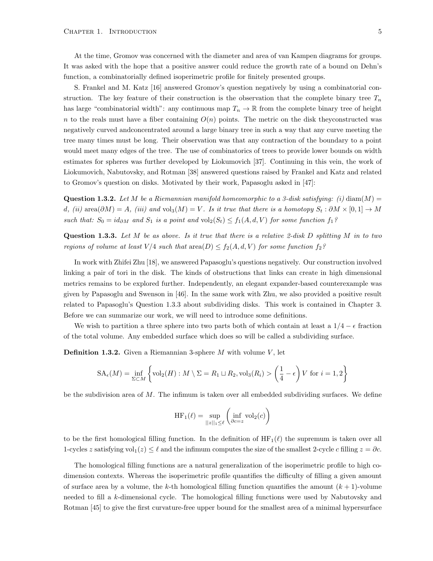At the time, Gromov was concerned with the diameter and area of van Kampen diagrams for groups. It was asked with the hope that a positive answer could reduce the growth rate of a bound on Dehn's function, a combinatorially defined isoperimetric profile for finitely presented groups.

S. Frankel and M. Katz [\[16\]](#page-40-2) answered Gromov's question negatively by using a combinatorial construction. The key feature of their construction is the observation that the complete binary tree  $T_n$ has large "combinatorial width": any continuous map  $T_n \to \mathbb{R}$  from the complete binary tree of height n to the reals must have a fiber containing  $O(n)$  points. The metric on the disk they constructed was negatively curved andconcentrated around a large binary tree in such a way that any curve meeting the tree many times must be long. Their observation was that any contraction of the boundary to a point would meet many edges of the tree. The use of combinatorics of trees to provide lower bounds on width estimates for spheres was further developed by Liokumovich [\[37\]](#page-41-3). Continuing in this vein, the work of Liokumovich, Nabutovsky, and Rotman [\[38\]](#page-41-4) answered questions raised by Frankel and Katz and related to Gromov's question on disks. Motivated by their work, Papasoglu asked in [\[47\]](#page-41-0):

**Question 1.3.2.** Let M be a Riemannian manifold homeomorphic to a 3-disk satisfying: (i) diam(M) = d, (ii) area $(\partial M) = A$ , (iii) and vol<sub>3</sub> $(M) = V$ . Is it true that there is a homotopy  $S_t : \partial M \times [0,1] \to M$ such that:  $S_0 = id_{\partial M}$  and  $S_1$  is a point and  $\text{vol}_2(S_t) \leq f_1(A, d, V)$  for some function  $f_1$ ?

<span id="page-9-0"></span>**Question 1.3.3.** Let  $M$  be as above. Is it true that there is a relative 2-disk  $D$  splitting  $M$  in to two regions of volume at least  $V/4$  such that  $\text{area}(D) \leq f_2(A, d, V)$  for some function  $f_2$ ?

In work with Zhifei Zhu [\[18\]](#page-40-1), we answered Papasoglu's questions negatively. Our construction involved linking a pair of tori in the disk. The kinds of obstructions that links can create in high dimensional metrics remains to be explored further. Independently, an elegant expander-based counterexample was given by Papasoglu and Swenson in [\[46\]](#page-41-5). In the same work with Zhu, we also provided a positive result related to Papasoglu's Question [1.3.3](#page-9-0) about subdividing disks. This work is contained in Chapter [3.](#page-29-0) Before we can summarize our work, we will need to introduce some definitions.

We wish to partition a three sphere into two parts both of which contain at least a  $1/4 - \epsilon$  fraction of the total volume. Any embedded surface which does so will be called a subdividing surface.

**Definition 1.3.2.** Given a Riemannian 3-sphere M with volume  $V$ , let

$$
SA_{\epsilon}(M) = \inf_{\Sigma \subset M} \left\{ \text{vol}_2(H) : M \setminus \Sigma = R_1 \sqcup R_2, \text{vol}_3(R_i) > \left( \frac{1}{4} - \epsilon \right) V \text{ for } i = 1, 2 \right\}
$$

be the subdivision area of  $M$ . The infimum is taken over all embedded subdividing surfaces. We define

$$
\operatorname{HF}_1(\ell) = \sup_{||z||_1 \le \ell} \left( \inf_{\partial c = z} \operatorname{vol}_2(c) \right)
$$

to be the first homological filling function. In the definition of  $HF_1(\ell)$  the supremum is taken over all 1-cycles z satisfying vol<sub>1</sub>(z) ≤  $\ell$  and the infimum computes the size of the smallest 2-cycle c filling  $z = \partial c$ .

The homological filling functions are a natural generalization of the isoperimetric profile to high codimension contexts. Whereas the isoperimetric profile quantifies the difficulty of filling a given amount of surface area by a volume, the k-th homological filling function quantifies the amount  $(k + 1)$ -volume needed to fill a k-dimensional cycle. The homological filling functions were used by Nabutovsky and Rotman [\[45\]](#page-41-6) to give the first curvature-free upper bound for the smallest area of a minimal hypersurface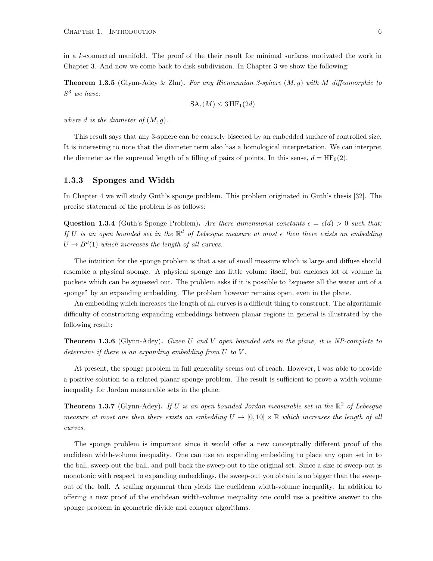in a k-connected manifold. The proof of the their result for minimal surfaces motivated the work in Chapter [3.](#page-29-0) And now we come back to disk subdivision. In Chapter [3](#page-29-0) we show the following:

**Theorem 1.3.5** (Glynn-Adey & Zhu). For any Riemannian 3-sphere  $(M, q)$  with M diffeomorphic to  $S^3$  we have:

$$
SA_{\epsilon}(M) \leq 3 \,\text{HF}_1(2d)
$$

where d is the diameter of  $(M, q)$ .

This result says that any 3-sphere can be coarsely bisected by an embedded surface of controlled size. It is interesting to note that the diameter term also has a homological interpretation. We can interpret the diameter as the supremal length of a filling of pairs of points. In this sense,  $d = HF_0(2)$ .

#### <span id="page-10-0"></span>1.3.3 Sponges and Width

In Chapter [4](#page-34-0) we will study Guth's sponge problem. This problem originated in Guth's thesis [\[32\]](#page-40-5). The precise statement of the problem is as follows:

Question 1.3.4 (Guth's Sponge Problem). Are there dimensional constants  $\epsilon = \epsilon(d) > 0$  such that: If U is an open bounded set in the  $\mathbb{R}^d$  of Lebesgue measure at most  $\epsilon$  then there exists an embedding  $U \rightarrow B^{d}(1)$  which increases the length of all curves.

The intuition for the sponge problem is that a set of small measure which is large and diffuse should resemble a physical sponge. A physical sponge has little volume itself, but encloses lot of volume in pockets which can be squeezed out. The problem asks if it is possible to "squeeze all the water out of a sponge" by an expanding embedding. The problem however remains open, even in the plane.

An embedding which increases the length of all curves is a difficult thing to construct. The algorithmic difficulty of constructing expanding embeddings between planar regions in general is illustrated by the following result:

**Theorem 1.3.6** (Glynn-Adey). Given U and V open bounded sets in the plane, it is NP-complete to determine if there is an expanding embedding from U to V.

At present, the sponge problem in full generality seems out of reach. However, I was able to provide a positive solution to a related planar sponge problem. The result is sufficient to prove a width-volume inequality for Jordan measurable sets in the plane.

**Theorem 1.3.7** (Glynn-Adey). If U is an open bounded Jordan measurable set in the  $\mathbb{R}^2$  of Lebesgue measure at most one then there exists an embedding  $U \to [0, 10] \times \mathbb{R}$  which increases the length of all curves.

The sponge problem is important since it would offer a new conceptually different proof of the euclidean width-volume inequality. One can use an expanding embedding to place any open set in to the ball, sweep out the ball, and pull back the sweep-out to the original set. Since a size of sweep-out is monotonic with respect to expanding embeddings, the sweep-out you obtain is no bigger than the sweepout of the ball. A scaling argument then yields the euclidean width-volume inequality. In addition to offering a new proof of the euclidean width-volume inequality one could use a positive answer to the sponge problem in geometric divide and conquer algorithms.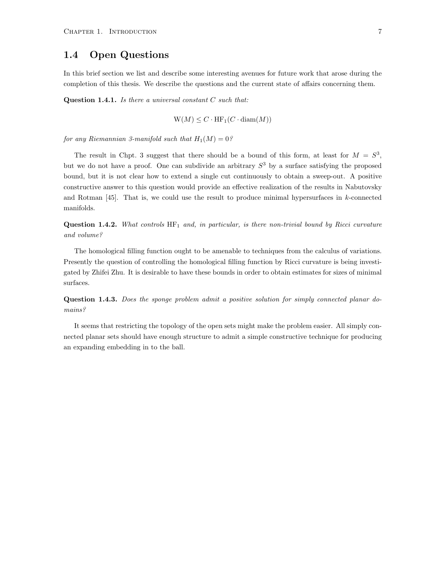#### <span id="page-11-0"></span>1.4 Open Questions

In this brief section we list and describe some interesting avenues for future work that arose during the completion of this thesis. We describe the questions and the current state of affairs concerning them.

**Question 1.4.1.** Is there a universal constant  $C$  such that:

$$
W(M) \le C \cdot HF_1(C \cdot \text{diam}(M))
$$

for any Riemannian 3-manifold such that  $H_1(M) = 0$ ?

The result in Chpt. [3](#page-29-0) suggest that there should be a bound of this form, at least for  $M = S<sup>3</sup>$ , but we do not have a proof. One can subdivide an arbitrary  $S<sup>3</sup>$  by a surface satisfying the proposed bound, but it is not clear how to extend a single cut continuously to obtain a sweep-out. A positive constructive answer to this question would provide an effective realization of the results in Nabutovsky and Rotman [\[45\]](#page-41-6). That is, we could use the result to produce minimal hypersurfaces in k-connected manifolds.

**Question 1.4.2.** What controls  $HF_1$  and, in particular, is there non-trivial bound by Ricci curvature and volume?

The homological filling function ought to be amenable to techniques from the calculus of variations. Presently the question of controlling the homological filling function by Ricci curvature is being investigated by Zhifei Zhu. It is desirable to have these bounds in order to obtain estimates for sizes of minimal surfaces.

Question 1.4.3. Does the sponge problem admit a positive solution for simply connected planar domains?

It seems that restricting the topology of the open sets might make the problem easier. All simply connected planar sets should have enough structure to admit a simple constructive technique for producing an expanding embedding in to the ball.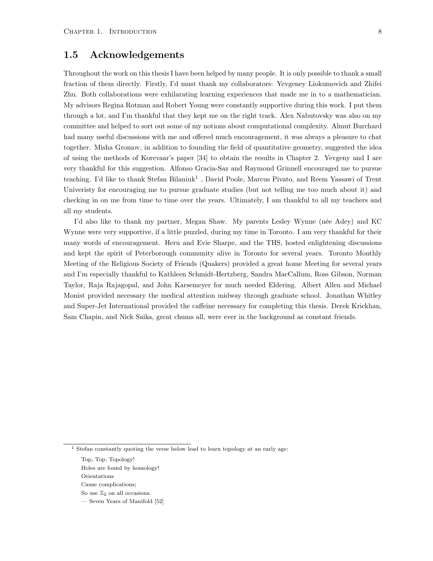#### <span id="page-12-0"></span>1.5 Acknowledgements

Throughout the work on this thesis I have been helped by many people. It is only possible to thank a small fraction of them directly. Firstly, I'd must thank my collaborators: Yevgeney Liokumovich and Zhifei Zhu. Both collaborations were exhilarating learning experiences that made me in to a mathematician. My advisors Regina Rotman and Robert Young were constantly supportive during this work. I put them through a lot, and I'm thankful that they kept me on the right track. Alex Nabutovsky was also on my committee and helped to sort out some of my notions about computational complexity. Almut Burchard had many useful discussions with me and offered much encouragement, it was always a pleasure to chat together. Misha Gromov, in addition to founding the field of quantitative geometry, suggested the idea of using the methods of Korevaar's paper [\[34\]](#page-41-7) to obtain the results in Chapter 2. Yevgeny and I are very thankful for this suggestion. Alfonso Gracia-Saz and Raymond Grinnell encouraged me to pursue teaching. I'd like to thank Stefan Bilaniuk<sup>[1](#page-0-0)</sup>, David Poole, Marcus Pivato, and Reem Yassawi of Trent Univeristy for encouraging me to pursue graduate studies (but not telling me too much about it) and checking in on me from time to time over the years. Ultimately, I am thankful to all my teachers and all my students.

I'd also like to thank my partner, Megan Shaw. My parents Lesley Wynne (née Adey) and KC Wynne were very supportive, if a little puzzled, during my time in Toronto. I am very thankful for their many words of encouragement. Heru and Evie Sharpe, and the THS, hosted enlightening discussions and kept the spirit of Peterborough community alive in Toronto for several years. Toronto Monthly Meeting of the Religious Society of Friends (Quakers) provided a great home Meeting for several years and I'm especially thankful to Kathleen Schmidt-Hertzberg, Sandra MacCallum, Ross Gibson, Norman Taylor, Raja Rajagopal, and John Karsemeyer for much needed Eldering. Albert Allen and Michael Monist provided necessary the medical attention midway through graduate school. Jonathan Whitley and Super-Jet International provided the caffeine necessary for completing this thesis. Derek Krickhan, Sam Chapin, and Nick Saika, great chums all, were ever in the background as constant friends.

 $1$  Stefan constantly quoting the verse below lead to learn topology at an early age:

Top, Top, Topology!

Holes are found by homology!

Orientations

Cause complications;

So use  $\mathbb{Z}_2$  on all occasions.

<sup>—</sup> Seven Years of Manifold [\[52\]](#page-42-0)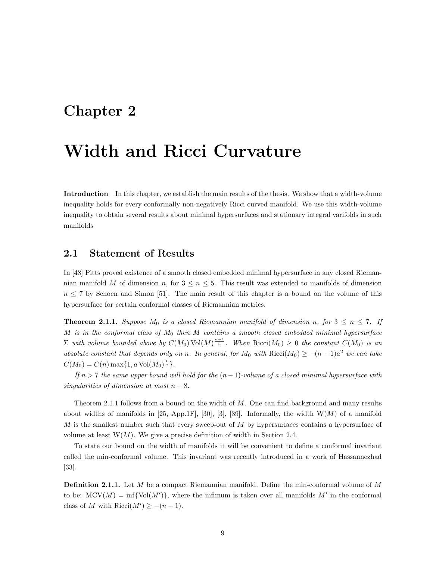## <span id="page-13-0"></span>Chapter 2

## Width and Ricci Curvature

Introduction In this chapter, we establish the main results of the thesis. We show that a width-volume inequality holds for every conformally non-negatively Ricci curved manifold. We use this width-volume inequality to obtain several results about minimal hypersurfaces and stationary integral varifolds in such manifolds

#### <span id="page-13-1"></span>2.1 Statement of Results

In [\[48\]](#page-41-1) Pitts proved existence of a smooth closed embedded minimal hypersurface in any closed Riemannian manifold M of dimension n, for  $3 \le n \le 5$ . This result was extended to manifolds of dimension  $n \leq 7$  by Schoen and Simon [\[51\]](#page-42-1). The main result of this chapter is a bound on the volume of this hypersurface for certain conformal classes of Riemannian metrics.

<span id="page-13-2"></span>**Theorem 2.1.1.** Suppose  $M_0$  is a closed Riemannian manifold of dimension n, for  $3 \leq n \leq 7$ . If M is in the conformal class of  $M_0$  then M contains a smooth closed embedded minimal hypersurface  $\Sigma$  with volume bounded above by  $C(M_0)$  Vol $(M)^{\frac{n-1}{n}}$ . When  $Ricci(M_0) \geq 0$  the constant  $C(M_0)$  is an absolute constant that depends only on n. In general, for  $M_0$  with  $\text{Ricci}(M_0) \geq -(n-1)a^2$  we can take  $C(M_0) = C(n) \max\{1, a \text{ Vol}(M_0)^{\frac{1}{n}}\}.$ 

If  $n > 7$  the same upper bound will hold for the  $(n-1)$ -volume of a closed minimal hypersurface with singularities of dimension at most  $n - 8$ .

Theorem [2.1.1](#page-13-2) follows from a bound on the width of M. One can find background and many results about widths of manifolds in [\[25,](#page-40-8) App.1F], [\[30\]](#page-40-4), [\[3\]](#page-39-2), [\[39\]](#page-41-2). Informally, the width  $W(M)$  of a manifold  $M$  is the smallest number such that every sweep-out of  $M$  by hypersurfaces contains a hypersurface of volume at least  $W(M)$ . We give a precise definition of width in Section [2.4.](#page-17-0)

To state our bound on the width of manifolds it will be convenient to define a conformal invariant called the min-conformal volume. This invariant was recently introduced in a work of Hassannezhad [\[33\]](#page-41-8).

<span id="page-13-3"></span>**Definition 2.1.1.** Let M be a compact Riemannian manifold. Define the min-conformal volume of M to be:  $MCV(M) = \inf \{ Vol(M') \},$  where the infimum is taken over all manifolds M' in the conformal class of M with Ricci( $M'$ )  $\geq -(n-1)$ .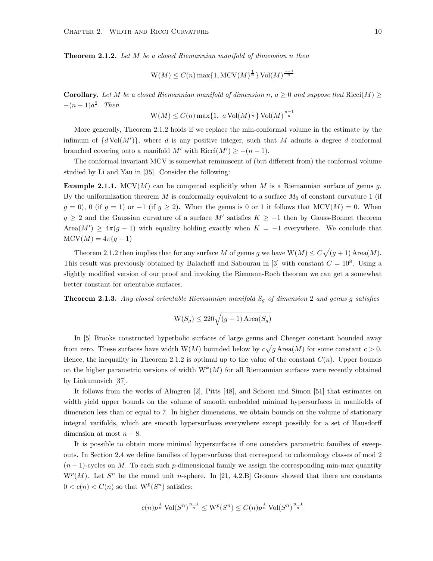<span id="page-14-0"></span>**Theorem 2.1.2.** Let M be a closed Riemannian manifold of dimension n then

$$
\mathcal{W}(M) \le C(n) \max\{1, \mathcal{M}\mathcal{C}\mathcal{V}(M)^{\frac{1}{n}}\} \mathcal{V}\mathcal{O}\mathcal{V}(M)^{\frac{n-1}{n}}
$$

Corollary. Let M be a closed Riemannian manifold of dimension n,  $a \geq 0$  and suppose that Ricci(M)  $\geq$  $-(n-1)a^2$ . Then

$$
W(M) \le C(n) \max\{1, a \text{ Vol}(M)^{\frac{1}{n}}\} \text{Vol}(M)^{\frac{n-1}{n}}
$$

More generally, Theorem [2.1.2](#page-14-0) holds if we replace the min-conformal volume in the estimate by the infimum of  $\{d \text{Vol}(M')\}$ , where d is any positive integer, such that M admits a degree d conformal branched covering onto a manifold  $M'$  with  $Ricci(M') \geq -(n-1)$ .

The conformal invariant MCV is somewhat reminiscent of (but different from) the conformal volume studied by Li and Yau in [\[35\]](#page-41-9). Consider the following:

**Example 2.1.1.** MCV(M) can be computed explicitly when M is a Riemannian surface of genus g. By the uniformization theorem  $M$  is conformally equivalent to a surface  $M_0$  of constant curvature 1 (if  $g = 0$ , 0 (if  $g = 1$ ) or  $-1$  (if  $g \ge 2$ ). When the genus is 0 or 1 it follows that MCV(M) = 0. When  $g \geq 2$  and the Gaussian curvature of a surface M' satisfies  $K \geq -1$  then by Gauss-Bonnet theorem Area $(M') \geq 4\pi(g-1)$  with equality holding exactly when  $K = -1$  everywhere. We conclude that  $MCV(M) = 4\pi(g-1)$ 

Theorem [2.1.2](#page-14-0) then implies that for any surface M of genus g we have  $W(M) \leq C \sqrt{(g+1) \text{Area}(M)}$ . This result was previously obtained by Balacheff and Sabourau in [\[3\]](#page-39-2) with constant  $C = 10^8$ . Using a slightly modified version of our proof and invoking the Riemann-Roch theorem we can get a somewhat better constant for orientable surfaces.

<span id="page-14-1"></span>**Theorem 2.1.3.** Any closed orientable Riemannian manifold  $S<sub>q</sub>$  of dimension 2 and genus g satisfies

$$
\mathrm{W}(S_g)\leq 220\sqrt{(g+1)\operatorname{Area}(S_g)}
$$

In [\[5\]](#page-39-3) Brooks constructed hyperbolic surfaces of large genus and Cheeger constant bounded away from zero. These surfaces have width  $W(M)$  bounded below by  $c\sqrt{g\operatorname{Area}(M)}$  for some constant  $c > 0$ . Hence, the inequality in Theorem [2.1.2](#page-14-0) is optimal up to the value of the constant  $C(n)$ . Upper bounds on the higher parametric versions of width  $W^{k}(M)$  for all Riemannian surfaces were recently obtained by Liokumovich [\[37\]](#page-41-3).

It follows from the works of Almgren [\[2\]](#page-39-5), Pitts [\[48\]](#page-41-1), and Schoen and Simon [\[51\]](#page-42-1) that estimates on width yield upper bounds on the volume of smooth embedded minimal hypersurfaces in manifolds of dimension less than or equal to 7. In higher dimensions, we obtain bounds on the volume of stationary integral varifolds, which are smooth hypersurfaces everywhere except possibly for a set of Hausdorff dimension at most  $n - 8$ .

It is possible to obtain more minimal hypersurfaces if one considers parametric families of sweepouts. In Section [2.4](#page-17-0) we define families of hypersurfaces that correspond to cohomology classes of mod 2  $(n-1)$ -cycles on M. To each such p-dimensional family we assign the corresponding min-max quantity  $W^p(M)$ . Let  $S^n$  be the round unit n-sphere. In [\[21,](#page-40-6) 4.2.B] Gromov showed that there are constants  $0 < c(n) < C(n)$  so that  $W<sup>p</sup>(S<sup>n</sup>)$  satisfies:

$$
c(n)p^{\frac{1}{n}}\operatorname{Vol}(S^n)^{\frac{n-1}{n}} \le \mathrm{W}^p(S^n) \le C(n)p^{\frac{1}{n}}\operatorname{Vol}(S^n)^{\frac{n-1}{n}}
$$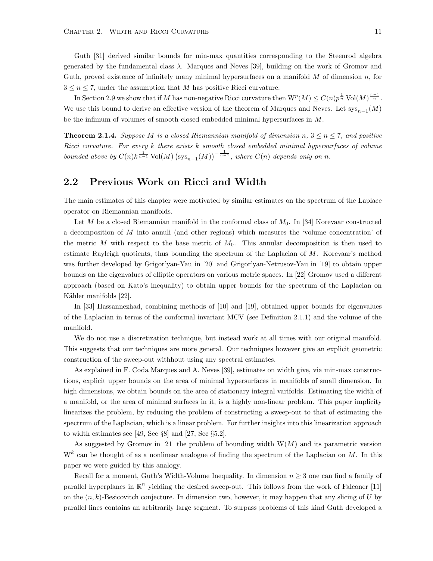Guth [\[31\]](#page-40-9) derived similar bounds for min-max quantities corresponding to the Steenrod algebra generated by the fundamental class  $\lambda$ . Marques and Neves [\[39\]](#page-41-2), building on the work of Gromov and Guth, proved existence of infinitely many minimal hypersurfaces on a manifold  $M$  of dimension  $n$ , for  $3 \leq n \leq 7$ , under the assumption that M has positive Ricci curvature.

In Section [2.9](#page-27-0) we show that if M has non-negative Ricci curvature then  $W^p(M) \leq C(n)p^{\frac{1}{n}}$  Vol $(M)^{\frac{n-1}{n}}$ . We use this bound to derive an effective version of the theorem of Marques and Neves. Let  $sys_{n-1}(M)$ be the infimum of volumes of smooth closed embedded minimal hypersurfaces in M.

<span id="page-15-1"></span>**Theorem 2.1.4.** Suppose M is a closed Riemannian manifold of dimension n,  $3 \leq n \leq 7$ , and positive Ricci curvature. For every k there exists k smooth closed embedded minimal hypersurfaces of volume bounded above by  $C(n)k^{\frac{1}{n-1}}$  Vol $(M)$   $(\text{sys}_{n-1}(M))^{\frac{1}{n-1}}$ , where  $C(n)$  depends only on n.

#### <span id="page-15-0"></span>2.2 Previous Work on Ricci and Width

The main estimates of this chapter were motivated by similar estimates on the spectrum of the Laplace operator on Riemannian manifolds.

Let M be a closed Riemannian manifold in the conformal class of  $M_0$ . In [\[34\]](#page-41-7) Korevaar constructed a decomposition of M into annuli (and other regions) which measures the 'volume concentration' of the metric M with respect to the base metric of  $M_0$ . This annular decomposition is then used to estimate Rayleigh quotients, thus bounding the spectrum of the Laplacian of  $M$ . Korevaar's method was further developed by Grigor'yan-Yau in [\[20\]](#page-40-10) and Grigor'yan-Netrusov-Yau in [\[19\]](#page-40-11) to obtain upper bounds on the eigenvalues of elliptic operators on various metric spaces. In [\[22\]](#page-40-12) Gromov used a different approach (based on Kato's inequality) to obtain upper bounds for the spectrum of the Laplacian on Kähler manifolds [\[22\]](#page-40-12).

In [\[33\]](#page-41-8) Hassannezhad, combining methods of [\[10\]](#page-39-6) and [\[19\]](#page-40-11), obtained upper bounds for eigenvalues of the Laplacian in terms of the conformal invariant MCV (see Definition [2.1.1\)](#page-13-3) and the volume of the manifold.

We do not use a discretization technique, but instead work at all times with our original manifold. This suggests that our techniques are more general. Our techniques however give an explicit geometric construction of the sweep-out withhout using any spectral estimates.

As explained in F. Coda Marques and A. Neves [\[39\]](#page-41-2), estimates on width give, via min-max constructions, explicit upper bounds on the area of minimal hypersurfaces in manifolds of small dimension. In high dimensions, we obtain bounds on the area of stationary integral varifolds. Estimating the width of a manifold, or the area of minimal surfaces in it, is a highly non-linear problem. This paper implicity linearizes the problem, by reducing the problem of constructing a sweep-out to that of estimating the spectrum of the Laplacian, which is a linear problem. For further insights into this linearization approach to width estimates see [\[49,](#page-41-10) Sec §8] and [\[27,](#page-40-13) Sec §5.2].

As suggested by Gromov in [\[21\]](#page-40-6) the problem of bounding width  $W(M)$  and its parametric version  $W<sup>k</sup>$  can be thought of as a nonlinear analogue of finding the spectrum of the Laplacian on M. In this paper we were guided by this analogy.

Recall for a moment, Guth's Width-Volume Inequality. In dimension  $n \geq 3$  one can find a family of parallel hyperplanes in  $\mathbb{R}^n$  yielding the desired sweep-out. This follows from the work of Falconer [\[11\]](#page-39-7) on the  $(n, k)$ -Besicovitch conjecture. In dimension two, however, it may happen that any slicing of U by parallel lines contains an arbitrarily large segment. To surpass problems of this kind Guth developed a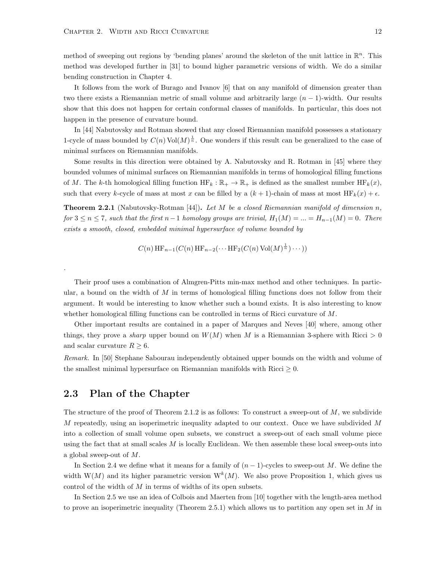method of sweeping out regions by 'bending planes' around the skeleton of the unit lattice in  $\mathbb{R}^n$ . This method was developed further in [\[31\]](#page-40-9) to bound higher parametric versions of width. We do a similar bending construction in Chapter [4.](#page-34-0)

It follows from the work of Burago and Ivanov [\[6\]](#page-39-1) that on any manifold of dimension greater than two there exists a Riemannian metric of small volume and arbitrarily large  $(n - 1)$ -width. Our results show that this does not happen for certain conformal classes of manifolds. In particular, this does not happen in the presence of curvature bound.

In [\[44\]](#page-41-11) Nabutovsky and Rotman showed that any closed Riemannian manifold possesses a stationary 1-cycle of mass bounded by  $C(n)$  Vol $(M)^{\frac{1}{n}}$ . One wonders if this result can be generalized to the case of minimal surfaces on Riemannian manifolds.

Some results in this direction were obtained by A. Nabutovsky and R. Rotman in [\[45\]](#page-41-6) where they bounded volumes of minimal surfaces on Riemannian manifolds in terms of homological filling functions of M. The k-th homological filling function  $HF_k : \mathbb{R}_+ \to \mathbb{R}_+$  is defined as the smallest number  $HF_k(x)$ , such that every k-cycle of mass at most x can be filled by a  $(k + 1)$ -chain of mass at most  $HF_k(x) + \epsilon$ .

**Theorem 2.2.1** (Nabutovsky-Rotman [\[44\]](#page-41-11)). Let M be a closed Riemannian manifold of dimension n, for  $3 \leq n \leq 7$ , such that the first  $n-1$  homology groups are trivial,  $H_1(M) = ... = H_{n-1}(M) = 0$ . There exists a smooth, closed, embedded minimal hypersurface of volume bounded by

$$
C(n) \operatorname{HF}_{n-1}(C(n) \operatorname{HF}_{n-2}(\cdots \operatorname{HF}_2(C(n) \operatorname{Vol}(M)^{\frac{1}{n}}) \cdots))
$$

Their proof uses a combination of Almgren-Pitts min-max method and other techniques. In particular, a bound on the width of  $M$  in terms of homological filling functions does not follow from their argument. It would be interesting to know whether such a bound exists. It is also interesting to know whether homological filling functions can be controlled in terms of Ricci curvature of M.

Other important results are contained in a paper of Marques and Neves [\[40\]](#page-41-12) where, among other things, they prove a *sharp* upper bound on  $W(M)$  when M is a Riemannian 3-sphere with Ricci  $> 0$ and scalar curvature  $R \geq 6$ .

Remark. In [\[50\]](#page-42-2) Stephane Sabourau independently obtained upper bounds on the width and volume of the smallest minimal hypersurface on Riemannian manifolds with Ricci  $\geq 0$ .

#### <span id="page-16-0"></span>2.3 Plan of the Chapter

.

The structure of the proof of Theorem [2.1.2](#page-14-0) is as follows: To construct a sweep-out of  $M$ , we subdivide M repeatedly, using an isoperimetric inequality adapted to our context. Once we have subdivided M into a collection of small volume open subsets, we construct a sweep-out of each small volume piece using the fact that at small scales  $M$  is locally Euclidean. We then assemble these local sweep-outs into a global sweep-out of  $M$ .

In Section [2.4](#page-17-0) we define what it means for a family of  $(n - 1)$ -cycles to sweep-out M. We define the width  $W(M)$  and its higher parametric version  $W^{k}(M)$ . We also prove Proposition [1,](#page-18-0) which gives us control of the width of  $M$  in terms of widths of its open subsets.

In Section [2.5](#page-20-0) we use an idea of Colbois and Maerten from [\[10\]](#page-39-6) together with the length-area method to prove an isoperimetric inequality (Theorem [2.5.1\)](#page-21-1) which allows us to partition any open set in  $M$  in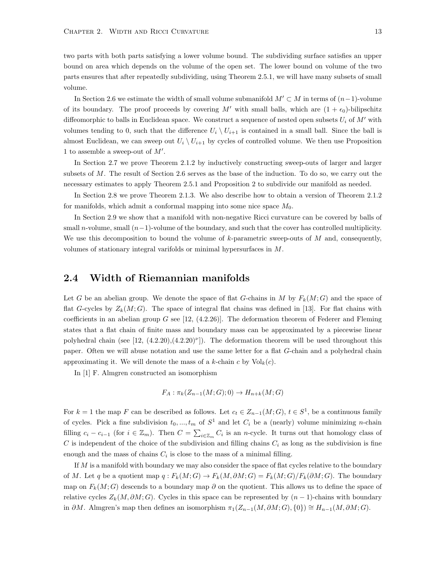two parts with both parts satisfying a lower volume bound. The subdividing surface satisfies an upper bound on area which depends on the volume of the open set. The lower bound on volume of the two parts ensures that after repeatedly subdividing, using Theorem [2.5.1,](#page-21-1) we will have many subsets of small volume.

In Section [2.6](#page-21-0) we estimate the width of small volume submanifold  $M' \subset M$  in terms of  $(n-1)$ -volume of its boundary. The proof proceeds by covering M' with small balls, which are  $(1 + \epsilon_0)$ -bilipschitz diffeomorphic to balls in Euclidean space. We construct a sequence of nested open subsets  $U_i$  of  $M'$  with volumes tending to 0, such that the difference  $U_i \setminus U_{i+1}$  is contained in a small ball. Since the ball is almost Euclidean, we can sweep out  $U_i \setminus U_{i+1}$  by cycles of controlled volume. We then use Proposition [1](#page-18-0) to assemble a sweep-out of  $M'$ .

In Section [2.7](#page-24-0) we prove Theorem [2.1.2](#page-14-0) by inductively constructing sweep-outs of larger and larger subsets of M. The result of Section [2.6](#page-21-0) serves as the base of the induction. To do so, we carry out the necessary estimates to apply Theorem [2.5.1](#page-21-1) and Proposition [2](#page-22-0) to subdivide our manifold as needed.

In Section [2.8](#page-25-0) we prove Theorem [2.1.3.](#page-14-1) We also describe how to obtain a version of Theorem [2.1.2](#page-14-0) for manifolds, which admit a conformal mapping into some nice space  $M_0$ .

In Section [2.9](#page-27-0) we show that a manifold with non-negative Ricci curvature can be covered by balls of small n-volume, small  $(n-1)$ -volume of the boundary, and such that the cover has controlled multiplicity. We use this decomposition to bound the volume of k-parametric sweep-outs of  $M$  and, consequently, volumes of stationary integral varifolds or minimal hypersurfaces in M.

#### <span id="page-17-0"></span>2.4 Width of Riemannian manifolds

Let G be an abelian group. We denote the space of flat G-chains in M by  $F_k(M;G)$  and the space of flat G-cycles by  $Z_k(M; G)$ . The space of integral flat chains was defined in [\[13\]](#page-39-8). For flat chains with coefficients in an abelian group G see  $[12, (4.2.26)]$ . The deformation theorem of Federer and Fleming states that a flat chain of finite mass and boundary mass can be approximated by a piecewise linear polyhedral chain (see  $[12, (4.2.20), (4.2.20)^{\nu}]$ ). The deformation theorem will be used throughout this paper. Often we will abuse notation and use the same letter for a flat G-chain and a polyhedral chain approximating it. We will denote the mass of a k-chain c by  $\text{Vol}_k(c)$ .

In [\[1\]](#page-39-10) F. Almgren constructed an isomorphism

$$
F_A: \pi_k(Z_{n-1}(M;G);0) \to H_{n+k}(M;G)
$$

For  $k = 1$  the map F can be described as follows. Let  $c_t \in Z_{n-1}(M; G)$ ,  $t \in S^1$ , be a continuous family of cycles. Pick a fine subdivision  $t_0, ..., t_m$  of  $S^1$  and let  $C_i$  be a (nearly) volume minimizing *n*-chain filling  $c_i - c_{i-1}$  (for  $i \in \mathbb{Z}_m$ ). Then  $C = \sum_{i \in \mathbb{Z}_m} C_i$  is an n-cycle. It turns out that homology class of C is independent of the choice of the subdivision and filling chains  $C_i$  as long as the subdivision is fine enough and the mass of chains  $C_i$  is close to the mass of a minimal filling.

If  $M$  is a manifold with boundary we may also consider the space of flat cycles relative to the boundary of M. Let q be a quotient map  $q: F_k(M; G) \to F_k(M; \partial M; G) = F_k(M; G)/F_k(\partial M; G)$ . The boundary map on  $F_k(M; G)$  descends to a boundary map  $\partial$  on the quotient. This allows us to define the space of relative cycles  $Z_k(M, \partial M; G)$ . Cycles in this space can be represented by  $(n-1)$ -chains with boundary in ∂M. Almgren's map then defines an isomorphism  $\pi_1(Z_{n-1}(M, \partial M; G), \{0\}) \cong H_{n-1}(M, \partial M; G)$ .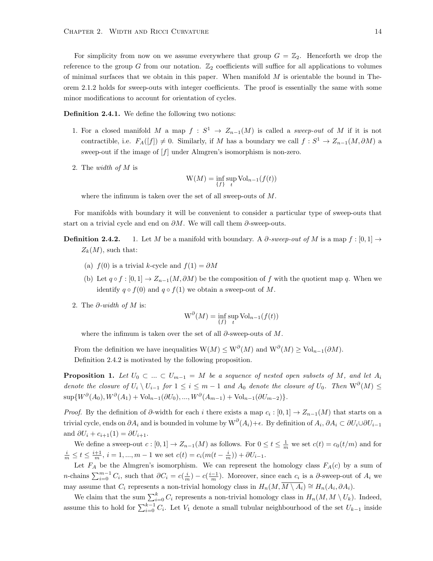For simplicity from now on we assume everywhere that group  $G = \mathbb{Z}_2$ . Henceforth we drop the reference to the group G from our notation.  $\mathbb{Z}_2$  coefficients will suffice for all applications to volumes of minimal surfaces that we obtain in this paper. When manifold  $M$  is orientable the bound in Theorem [2.1.2](#page-14-0) holds for sweep-outs with integer coefficients. The proof is essentially the same with some minor modifications to account for orientation of cycles.

<span id="page-18-1"></span>Definition 2.4.1. We define the following two notions:

- 1. For a closed manifold M a map  $f : S^1 \to Z_{n-1}(M)$  is called a *sweep-out* of M if it is not contractible, i.e.  $F_A([f]) \neq 0$ . Similarly, if M has a boundary we call  $f : S^1 \to Z_{n-1}(M, \partial M)$  a sweep-out if the image of  $[f]$  under Almgren's isomorphism is non-zero.
- 2. The width of M is

$$
W(M) = \inf_{\{f\}} \sup_t Vol_{n-1}(f(t))
$$

where the infimum is taken over the set of all sweep-outs of M.

For manifolds with boundary it will be convenient to consider a particular type of sweep-outs that start on a trivial cycle and end on  $\partial M$ . We will call them  $\partial$ -sweep-outs.

- **Definition 2.4.2.** 1. Let M be a manifold with boundary. A  $\partial$ -sweep-out of M is a map f : [0, 1]  $\rightarrow$  $Z_k(M)$ , such that:
	- (a)  $f(0)$  is a trivial k-cycle and  $f(1) = \partial M$
	- (b) Let  $q \circ f : [0,1] \to Z_{n-1}(M, \partial M)$  be the composition of f with the quotient map q. When we identify  $q \circ f(0)$  and  $q \circ f(1)$  we obtain a sweep-out of M.
	- 2. The  $\partial$ -width of M is:

$$
W^{\partial}(M) = \inf_{\{f\}} \sup_t \text{Vol}_{n-1}(f(t))
$$

where the infimum is taken over the set of all  $\partial$ -sweep-outs of M.

From the definition we have inequalities  $W(M) \leq W^{\partial}(M)$  and  $W^{\partial}(M) \geq Vol_{n-1}(\partial M)$ . Definition [2.4.2](#page-0-0) is motivated by the following proposition.

<span id="page-18-0"></span>**Proposition 1.** Let  $U_0 \subset ... \subset U_{m-1} = M$  be a sequence of nested open subsets of M, and let  $A_i$ denote the closure of  $U_i \setminus U_{i-1}$  for  $1 \leq i \leq m-1$  and  $A_0$  denote the closure of  $U_0$ . Then  $W^{\partial}(M) \leq$  $\sup\{W^{\partial}(A_0), W^{\partial}(A_1) + \text{Vol}_{n-1}(\partial U_0), ..., W^{\partial}(A_{m-1}) + \text{Vol}_{n-1}(\partial U_{m-2})\}.$ 

*Proof.* By the definition of  $\partial$ -width for each i there exists a map  $c_i : [0,1] \to Z_{n-1}(M)$  that starts on a trivial cycle, ends on  $\partial A_i$  and is bounded in volume by  $\text{W}^{\partial}(A_i)+\epsilon$ . By definition of  $A_i$ ,  $\partial A_i \subset \partial U_i \cup \partial U_{i-1}$ and  $\partial U_i + c_{i+1}(1) = \partial U_{i+1}$ .

We define a sweep-out  $c: [0,1] \to Z_{n-1}(M)$  as follows. For  $0 \le t \le \frac{1}{m}$  we set  $c(t) = c_0(t/m)$  and for  $\frac{i}{m} \le t \le \frac{i+1}{m}, i = 1, ..., m-1$  we set  $c(t) = c_i (m(t - \frac{i}{m})) + \partial U_{i-1}$ .

Let  $F_A$  be the Almgren's isomorphism. We can represent the homology class  $F_A(c)$  by a sum of *n*-chains  $\sum_{i=0}^{m-1} C_i$ , such that  $\partial C_i = c(\frac{i}{m}) - c(\frac{i-1}{m})$ . Moreover, since each  $c_i$  is a  $\partial$ -sweep-out of  $A_i$  we may assume that  $C_i$  represents a non-trivial homology class in  $H_n(M, \overline{M \setminus A_i}) \cong H_n(A_i, \partial A_i)$ .

We claim that the sum  $\sum_{i=0}^{k} C_i$  represents a non-trivial homology class in  $H_n(M, M \setminus U_k)$ . Indeed, assume this to hold for  $\sum_{i=0}^{k-1} C_i$ . Let  $V_1$  denote a small tubular neighbourhood of the set  $U_{k-1}$  inside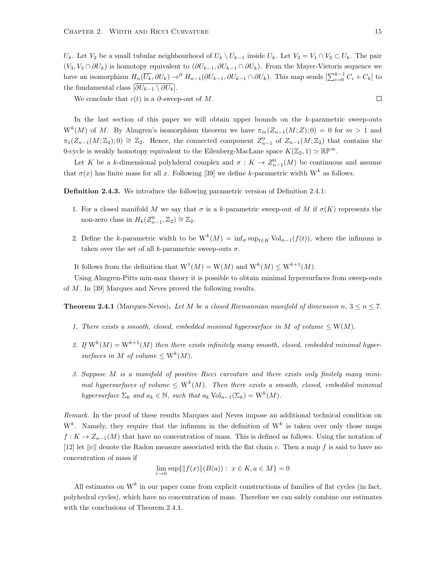$U_k$ . Let  $V_2$  be a small tubular neighbourhood of  $U_k \setminus U_{k-1}$  inside  $U_k$ . Let  $V_3 = V_1 \cap V_2 \subset U_k$ . The pair  $(V_3, V_3 \cap \partial U_k)$  is homotopy equivalent to  $(\partial U_{k-1}, \partial U_{k-1} \cap \partial U_k)$ . From the Mayer-Vietoris sequence we have an isomorphism  $H_n(\overline{U_k}, \partial U_k) \to^{\partial} H_{n-1}(\partial U_{k-1}, \partial U_{k-1} \cap \partial U_k)$ . This map sends  $[\sum_{i=0}^{k-1} C_i + C_k]$  to the fundamental class  $[\overline{\partial U_{k-1} \setminus \partial U_k}].$ 

We conclude that  $c(t)$  is a  $\partial$ -sweep-out of M.

In the last section of this paper we will obtain upper bounds on the  $k$ -parametric sweep-outs  $W^{k}(M)$  of M. By Almgren's isomorphism theorem we have  $\pi_m(Z_{n-1}(M;Z);0) = 0$  for  $m > 1$  and  $\pi_1(Z_{n-1}(M;\mathbb{Z}_2);0) \cong \mathbb{Z}_2$ . Hence, the connected component  $Z_{n-1}^0$  of  $Z_{n-1}(M;\mathbb{Z}_2)$  that contains the 0-cycle is weakly homotopy equivalent to the Eilenberg-MacLane space  $K(\mathbb{Z}_2, 1) \simeq \mathbb{RP}^{\infty}$ .

Let K be a k-dimensional polyhderal complex and  $\sigma: K \to Z_{n-1}^0(M)$  be continuous and assume that  $\sigma(x)$  has finite mass for all x. Following [\[39\]](#page-41-2) we define k-parametric width W<sup>k</sup> as follows.

Definition 2.4.3. We introduce the following parametric version of Definition [2.4.1:](#page-18-1)

- 1. For a closed manifold M we say that  $\sigma$  is a k-parametric sweep-out of M if  $\sigma(K)$  represents the non-zero class in  $H_k(Z_{n-1}^0, \mathbb{Z}_2) \cong \mathbb{Z}_2$ .
- 2. Define the k-parametric width to be  $W^k(M) = \inf_{\sigma} \sup_{t \in K} \text{Vol}_{n-1}(f(t))$ , where the infimum is taken over the set of all k-parametric sweep-outs  $\sigma$ .

It follows from the definition that  $W^1(M) = W(M)$  and  $W^k(M) \leq W^{k+1}(M)$ .

Using Almgren-Pitts min-max theory it is possible to obtain minimal hypersurfaces from sweep-outs of M. In [\[39\]](#page-41-2) Marques and Neves proved the following results.

<span id="page-19-0"></span>**Theorem 2.4.1** (Marques-Neves). Let M be a closed Riemannian manifold of dimension n,  $3 \le n \le 7$ .

- 1. There exists a smooth, closed, embedded minimal hypersurface in M of volume  $\leq W(M)$ .
- 2. If  $W^{k}(M) = W^{k+1}(M)$  then there exists infinitely many smooth, closed, embedded minimal hypersurfaces in M of volume  $\leq W^{k}(M)$ .
- 3. Suppose M is a manifold of positive Ricci curvature and there exists only finitely many minimal hypersurfaces of volume  $\leq \mathrm{W}^k(M)$ . Then there exists a smooth, closed, embedded minimal hypersurface  $\Sigma_k$  and  $a_k \in \mathbb{N}$ , such that  $a_k \text{Vol}_{n-1}(\Sigma_k) = \text{W}^k(M)$ .

Remark. In the proof of these results Marques and Neves impose an additional technical condition on  $W^k$ . Namely, they require that the infimum in the definition of  $W^k$  is taken over only those maps  $f: K \to Z_{n-1}(M)$  that have no concentration of mass. This is defined as follows. Using the notation of [\[12\]](#page-39-9) let  $||c||$  denote the Radon measure associated with the flat chain c. Then a map f is said to have no concentration of mass if

$$
\lim_{r \to 0} \sup \{ ||f(x)|| (B(a)) : x \in K, a \in M \} = 0
$$

All estimates on  $W^k$  in our paper come from explicit constructions of families of flat cycles (in fact, polyhedral cycles), which have no concentration of mass. Therefore we can safely combine our estimates with the conclusions of Theorem [2.4.1.](#page-19-0)

 $\Box$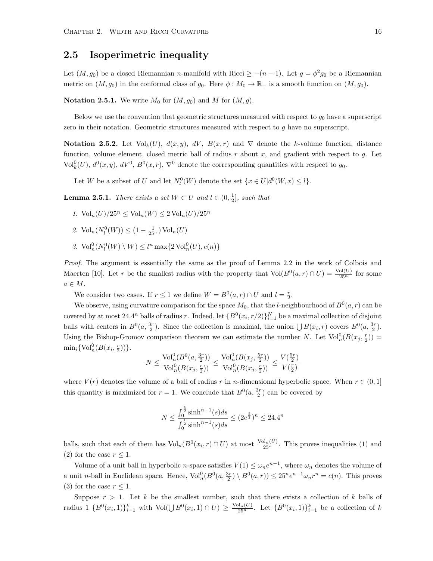#### <span id="page-20-0"></span>2.5 Isoperimetric inequality

Let  $(M, g_0)$  be a closed Riemannian n-manifold with Ricci  $\geq -(n-1)$ . Let  $g = \phi^2 g_0$  be a Riemannian metric on  $(M, g_0)$  in the conformal class of  $g_0$ . Here  $\phi : M_0 \to \mathbb{R}_+$  is a smooth function on  $(M, g_0)$ .

**Notation 2.5.1.** We write  $M_0$  for  $(M, g_0)$  and M for  $(M, g)$ .

Below we use the convention that geometric structures measured with respect to  $g_0$  have a superscript zero in their notation. Geometric structures measured with respect to g have no superscript.

**Notation 2.5.2.** Let  $Vol_k(U)$ ,  $d(x, y)$ ,  $dV$ ,  $B(x, r)$  and  $\nabla$  denote the k-volume function, distance function, volume element, closed metric ball of radius r about x, and gradient with respect to g. Let Vol<sup>0</sup><sub>k</sub> $(U)$ ,  $d^0(x, y)$ ,  $dV^0$ ,  $B^0(x, r)$ ,  $\nabla^0$  denote the corresponding quantities with respect to  $g_0$ .

Let W be a subset of U and let  $N_l^0(W)$  denote the set  $\{x \in U | d^0(W, x) \le l\}.$ 

<span id="page-20-1"></span>**Lemma 2.5.1.** There exists a set  $W \subset U$  and  $l \in (0, \frac{1}{2}]$ , such that

- 1.  $\text{Vol}_n(U)/25^n \leq \text{Vol}_n(W) \leq 2 \text{Vol}_n(U)/25^n$
- 2.  $\text{Vol}_n(N_l^0(W)) \leq (1 \frac{1}{25^n}) \text{Vol}_n(U)$
- 3.  $\text{Vol}_n^0(N_l^0(W) \setminus W) \leq l^n \max\{2\,\text{Vol}_n^0(U), c(n)\}\$

Proof. The argument is essentially the same as the proof of Lemma 2.2 in the work of Colbois and Maerten [\[10\]](#page-39-6). Let r be the smallest radius with the property that  $Vol(B^0(a, r) \cap U) = \frac{Vol(U)}{25^n}$  for some  $a \in M$ .

We consider two cases. If  $r \leq 1$  we define  $W = B^0(a, r) \cap U$  and  $l = \frac{r}{2}$ .

We observe, using curvature comparison for the space  $M_0$ , that the *l*-neighbourhood of  $B^0(a, r)$  can be covered by at most 24.4<sup>n</sup> balls of radius r. Indeed, let  $\{B^0(x_i, r/2)\}_{i=1}^N$  be a maximal collection of disjoint balls with centers in  $B^0(a, \frac{3r}{2})$ . Since the collection is maximal, the union  $\bigcup B(x_i, r)$  covers  $B^0(a, \frac{3r}{2})$ . Using the Bishop-Gromov comparison theorem we can estimate the number N. Let  $\text{Vol}_n^0(B(x_j, \frac{r}{2}))$  $\min_i \{ \text{Vol}_n^0(B(x_i, \frac{r}{2})) \}.$ 

$$
N \leq \frac{\text{Vol}_n^0(B^0(a, \frac{3r}{2}))}{\text{Vol}_n^0(B(x_j, \frac{r}{2}))} \leq \frac{\text{Vol}_n^0(B(x_j, \frac{5r}{2}))}{\text{Vol}_n^0(B(x_j, \frac{r}{2}))} \leq \frac{V(\frac{5r}{2})}{V(\frac{r}{2})}
$$

where  $V(r)$  denotes the volume of a ball of radius r in n-dimensional hyperbolic space. When  $r \in (0,1]$ this quantity is maximized for  $r = 1$ . We conclude that  $B<sup>0</sup>(a, \frac{3r}{2})$  can be covered by

$$
N \le \frac{\int_0^{\frac{5}{2}} \sinh^{n-1}(s)ds}{\int_0^{\frac{1}{2}} \sinh^{n-1}(s)ds} \le (2e^{\frac{5}{2}})^n \le 24.4^n
$$

balls, such that each of them has  $\text{Vol}_n(B^0(x_i, r) \cap U)$  at most  $\frac{\text{Vol}_n(U)}{25^n}$ . This proves inequalities (1) and (2) for the case  $r \leq 1$ .

Volume of a unit ball in hyperbolic *n*-space satisfies  $V(1) \leq \omega_n e^{n-1}$ , where  $\omega_n$  denotes the volume of a unit *n*-ball in Euclidean space. Hence,  $\text{Vol}_n^0(B^0(a, \frac{3r}{2}) \setminus B^0(a,r)) \leq 25^n e^{n-1} \omega_n r^n = c(n)$ . This proves (3) for the case  $r < 1$ .

Suppose  $r > 1$ . Let k be the smallest number, such that there exists a collection of k balls of radius  $1 \{B^0(x_i, 1)\}_{i=1}^k$  with  $\text{Vol}(\bigcup B^0(x_i, 1) \cap U) \geq \frac{\text{Vol}_n(U)}{25^n}$ . Let  $\{B^0(x_i, 1)\}_{i=1}^k$  be a collection of k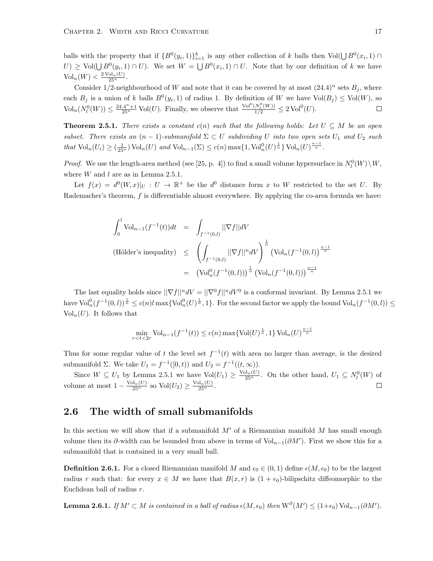balls with the property that if  $\{B^0(y_i,1)\}_{i=1}^k$  is any other collection of k balls then  $Vol(\bigcup B^0(x_i,1) \cap$  $U \geq Vol(\bigcup B^{0}(y_{i}, 1) \cap U)$ . We set  $W = \bigcup B^{0}(x_{i}, 1) \cap U$ . Note that by our definition of k we have  $\text{Vol}_n(W) < \frac{2 \text{ Vol}_n(U)}{25^n}.$ 

Consider 1/2-neighbourhood of W and note that it can be covered by at most  $(24.4)^n$  sets  $B_i$ , where each  $B_j$  is a union of k balls  $B^0(y_i, 1)$  of radius 1. By definition of W we have  $Vol(B_j) \leq Vol(W)$ , so  $\text{Vol}_n(N_l^0(W)) \leq \frac{24.4^n+1}{25^n} \text{Vol}(U)$ . Finally, we observe that  $\frac{\text{Vol}^0(N_l^0(W))}{1/2} \leq 2 \text{Vol}^0(U)$ .  $\Box$ 

<span id="page-21-1"></span>**Theorem 2.5.1.** There exists a constant c(n) such that the following holds: Let  $U \subseteq M$  be an open subset. There exists an  $(n-1)$ -submanifold  $\Sigma \subset U$  subdividing U into two open sets  $U_1$  and  $U_2$  such that  $\text{Vol}_n(U_i) \geq \left(\frac{1}{25^n}\right) \text{Vol}_n(U)$  and  $\text{Vol}_{n-1}(\Sigma) \leq c(n) \max\{1, \text{Vol}_n^0(U)^{\frac{1}{n}}\} \text{Vol}_n(U)^{\frac{n-1}{n}}$ .

*Proof.* We use the length-area method (see [\[25,](#page-40-8) p. 4]) to find a small volume hypersurface in  $N_l^0(W)\backslash W$ , where  $W$  and  $l$  are as in Lemma [2.5.1.](#page-20-1)

Let  $f(x) = d^0(W, x)|_U : U \to \mathbb{R}^+$  be the  $d^0$  distance form x to W restricted to the set U. By Rademacher's theorem,  $f$  is differentiable almost everywhere. By applying the co-area formula we have:

$$
\int_0^l \text{Vol}_{n-1}(f^{-1}(t))dt = \int_{f^{-1}(0,l)} ||\nabla f||dV
$$
\n(Hölder's inequality) 
$$
\leq \left(\int_{f^{-1}(0,l)} ||\nabla f||^n dV\right)^{\frac{1}{n}} (\text{Vol}_n(f^{-1}(0,l))^{\frac{n-1}{n}})
$$
\n
$$
= (\text{Vol}_n^0(f^{-1}(0,l)))^{\frac{1}{n}} (\text{Vol}_n(f^{-1}(0,l)))^{\frac{n-1}{n}}
$$

The last equality holds since  $||\nabla f||^n dV = ||\nabla^0 f||^n dV^0$  is a conformal invariant. By Lemma [2.5.1](#page-20-1) we  $\text{have Vol}_n^0(f^{-1}(0,l))^{\frac{1}{n}} \leq c(n)l \max\{\text{Vol}_n^0(U)^{\frac{1}{n}},1\}.$  For the second factor we apply the bound  $\text{Vol}_n(f^{-1}(0,l)) \leq$  $Vol_n(U)$ . It follows that

$$
\min_{r < t < 2r} \text{Vol}_{n-1}(f^{-1}(t)) \le c(n) \max\{\text{Vol}(U)^{\frac{1}{n}}, 1\} \text{Vol}_n(U)^{\frac{n-1}{n}}
$$

Thus for some regular value of t the level set  $f^{-1}(t)$  with area no larger than average, is the desired submanifold  $\Sigma$ . We take  $U_1 = f^{-1}([0, t))$  and  $U_2 = f^{-1}((t, \infty))$ .

Since  $W \subseteq U_1$  by Lemma [2.5.1](#page-20-1) we have  $Vol(U_1) \geq \frac{Vol_n(U)}{25^n}$ . On the other hand,  $U_1 \subseteq N_l^0(W)$  of volume at most  $1 - \frac{\text{Vol}_n(U)}{25^n}$  so  $\text{Vol}(U_2) \ge \frac{\text{Vol}_n(U)}{25^n}$ .  $\Box$ 

#### <span id="page-21-0"></span>2.6 The width of small submanifolds

In this section we will show that if a submanifold  $M'$  of a Riemannian manifold  $M$  has small enough volume then its  $\partial$ -width can be bounded from above in terms of Vol<sub>n−1</sub>( $\partial M'$ ). First we show this for a submanifold that is contained in a very small ball.

**Definition 2.6.1.** For a closed Riemannian manifold M and  $\epsilon_0 \in (0,1)$  define  $\epsilon(M,\epsilon_0)$  to be the largest radius r such that: for every  $x \in M$  we have that  $B(x, r)$  is  $(1 + \epsilon_0)$ -bilipschitz diffeomorphic to the Euclidean ball of radius r.

<span id="page-21-2"></span>**Lemma 2.6.1.** If  $M' \subset M$  is contained in a ball of radius  $\epsilon(M, \epsilon_0)$  then  $W^{\partial}(M') \leq (1+\epsilon_0) \text{Vol}_{n-1}(\partial M').$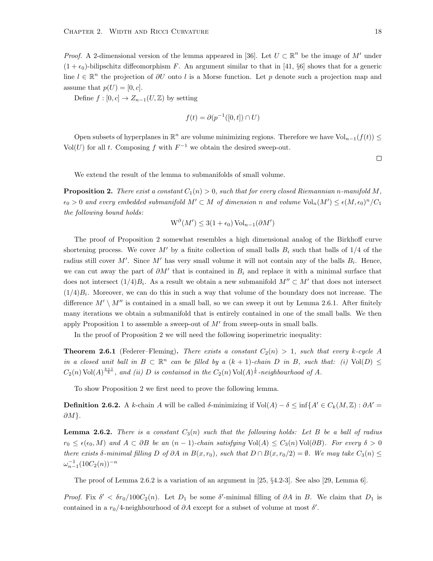*Proof.* A 2-dimensional version of the lemma appeared in [\[36\]](#page-41-13). Let  $U \subset \mathbb{R}^n$  be the image of M' under  $(1 + \epsilon_0)$ -bilipschitz diffeomorphism F. An argument similar to that in [\[41,](#page-41-14) §6] shows that for a generic line  $l \in \mathbb{R}^n$  the projection of  $\partial U$  onto l is a Morse function. Let p denote such a projection map and assume that  $p(U) = [0, c]$ .

Define  $f : [0, c] \to Z_{n-1}(U, \mathbb{Z})$  by setting

$$
f(t) = \partial(p^{-1}([0, t]) \cap U)
$$

Open subsets of hyperplanes in  $\mathbb{R}^n$  are volume minimizing regions. Therefore we have  $\text{Vol}_{n-1}(f(t)) \leq$ Vol(U) for all t. Composing f with  $F^{-1}$  we obtain the desired sweep-out.

 $\Box$ 

We extend the result of the lemma to submanifolds of small volume.

<span id="page-22-0"></span>**Proposition 2.** There exist a constant  $C_1(n) > 0$ , such that for every closed Riemannian n-manifold M,  $\epsilon_0 > 0$  and every embedded submanifold  $M' \subset M$  of dimension n and volume  $\text{Vol}_n(M') \leq \epsilon(M,\epsilon_0)^n / C_1$ the following bound holds:

$$
W^{\partial}(M') \le 3(1 + \epsilon_0) \operatorname{Vol}_{n-1}(\partial M')
$$

The proof of Proposition [2](#page-22-0) somewhat resembles a high dimensional analog of the Birkhoff curve shortening process. We cover M' by a finite collection of small balls  $B_i$  such that balls of 1/4 of the radius still cover M'. Since M' has very small volume it will not contain any of the balls  $B_i$ . Hence, we can cut away the part of  $\partial M'$  that is contained in  $B_i$  and replace it with a minimal surface that does not intersect  $(1/4)B_i$ . As a result we obtain a new submanifold  $M'' \subset M'$  that does not intersect  $(1/4)B_i$ . Moreover, we can do this in such a way that volume of the boundary does not increase. The difference  $M' \setminus M''$  is contained in a small ball, so we can sweep it out by Lemma [2.6.1.](#page-21-2) After finitely many iterations we obtain a submanifold that is entirely contained in one of the small balls. We then apply Proposition [1](#page-18-0) to assemble a sweep-out of  $M'$  from sweep-outs in small balls.

In the proof of Proposition [2](#page-22-0) we will need the following isoperimetric inequality:

**Theorem 2.6.1** (Federer–Fleming). There exists a constant  $C_2(n) > 1$ , such that every k-cycle A in a closed unit ball in  $B \subset \mathbb{R}^n$  can be filled by a  $(k + 1)$ -chain D in B, such that: (i) Vol(D)  $\leq$  $C_2(n) \text{Vol}(A)^{\frac{k+1}{k}}$ , and (ii) D is contained in the  $C_2(n) \text{Vol}(A)^{\frac{1}{k}}$ -neighbourhood of A.

To show Proposition [2](#page-22-0) we first need to prove the following lemma.

**Definition 2.6.2.** A k-chain A will be called  $\delta$ -minimizing if Vol $(A) - \delta \leq \inf \{A' \in C_k(M, \mathbb{Z}) : \partial A' =$  $\partial M$  }.

<span id="page-22-1"></span>**Lemma 2.6.2.** There is a constant  $C_3(n)$  such that the following holds: Let B be a ball of radius  $r_0 \leq \epsilon(\epsilon_0, M)$  and  $A \subset \partial B$  be an  $(n-1)$ -chain satisfying Vol(A)  $\leq C_3(n)$ Vol( $\partial B$ ). For every  $\delta > 0$ there exists  $\delta$ -minimal filling D of ∂A in  $B(x, r_0)$ , such that  $D \cap B(x, r_0/2) = \emptyset$ . We may take  $C_3(n) \leq$  $\omega_{n-1}^{-1} (10C_2(n))^{-n}$ 

The proof of Lemma [2.6.2](#page-22-1) is a variation of an argument in [\[25,](#page-40-8) §4.2-3]. See also [\[29,](#page-40-14) Lemma 6].

Proof. Fix  $\delta' < \delta r_0/100C_2(n)$ . Let  $D_1$  be some  $\delta'$ -minimal filling of  $\partial A$  in B. We claim that  $D_1$  is contained in a  $r_0/4$ -neighbourhood of  $\partial A$  except for a subset of volume at most  $\delta'$ .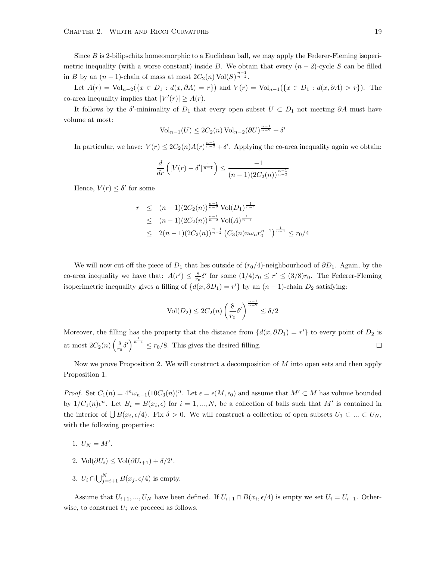Since B is 2-bilipschitz homeomorphic to a Euclidean ball, we may apply the Federer-Fleming isoperimetric inequality (with a worse constant) inside B. We obtain that every  $(n-2)$ -cycle S can be filled in B by an  $(n-1)$ -chain of mass at most  $2C_2(n) \text{Vol}(S)^{\frac{n-1}{n-2}}$ .

Let  $A(r) = \text{Vol}_{n-2}(\{x \in D_1 : d(x, \partial A) = r\})$  and  $V(r) = \text{Vol}_{n-1}(\{x \in D_1 : d(x, \partial A) > r\})$ . The co-area inequality implies that  $|V'(r)| \geq A(r)$ .

It follows by the  $\delta'$ -minimality of  $D_1$  that every open subset  $U \subset D_1$  not meeting  $\partial A$  must have volume at most:

$$
\text{Vol}_{n-1}(U) \le 2C_2(n) \text{ Vol}_{n-2}(\partial U)^{\frac{n-1}{n-2}} + \delta'
$$

In particular, we have:  $V(r) \leq 2C_2(n)A(r)^{\frac{n-1}{n-2}} + \delta'$ . Applying the co-area inequality again we obtain:

$$
\frac{d}{dr}\left([V(r)-\delta']^{\frac{1}{n-1}}\right) \le \frac{-1}{(n-1)(2C_2(n))^{\frac{n-1}{n-2}}}
$$

Hence,  $V(r) \leq \delta'$  for some

$$
r \le (n-1)(2C_2(n))^{\frac{n-1}{n-2}} \operatorname{Vol}(D_1)^{\frac{1}{n-1}}
$$
  
\n
$$
\le (n-1)(2C_2(n))^{\frac{n-1}{n-2}} \operatorname{Vol}(A)^{\frac{1}{n-1}}
$$
  
\n
$$
\le 2(n-1)(2C_2(n))^{\frac{n-1}{n-2}} (C_3(n)n\omega_n r_0^{n-1})^{\frac{1}{n-1}} \le r_0/4
$$

We will now cut off the piece of  $D_1$  that lies outside of  $(r_0/4)$ -neighbourhood of  $\partial D_1$ . Again, by the co-area inequality we have that:  $A(r') \leq \frac{8}{r_0} \delta'$  for some  $(1/4)r_0 \leq r' \leq (3/8)r_0$ . The Federer-Fleming isoperimetric inequality gives a filling of  $\{d(x, \partial D_1) = r'\}$  by an  $(n-1)$ -chain  $D_2$  satisfying:

$$
\text{Vol}(D_2) \le 2C_2(n) \left(\frac{8}{r_0}\delta'\right)^{\frac{n-1}{n-2}} \le \delta/2
$$

Moreover, the filling has the property that the distance from  $\{d(x, \partial D_1) = r'\}$  to every point of  $D_2$  is at most  $2C_2(n)\left(\frac{8}{r_0}\delta'\right)^{\frac{1}{n-1}} \leq r_0/8$ . This gives the desired filling.  $\Box$ 

Now we prove Proposition [2.](#page-22-0) We will construct a decomposition of  $M$  into open sets and then apply Proposition [1.](#page-18-0)

*Proof.* Set  $C_1(n) = 4^n \omega_{n-1}(10C_3(n))^n$ . Let  $\epsilon = \epsilon(M, \epsilon_0)$  and assume that  $M' \subset M$  has volume bounded by  $1/C_1(n)\epsilon^n$ . Let  $B_i = B(x_i, \epsilon)$  for  $i = 1, ..., N$ , be a collection of balls such that M' is contained in the interior of  $\bigcup B(x_i, \epsilon/4)$ . Fix  $\delta > 0$ . We will construct a collection of open subsets  $U_1 \subset ... \subset U_N$ , with the following properties:

- 1.  $U_N = M'.$
- 2. Vol $(\partial U_i) \le \text{Vol}(\partial U_{i+1}) + \delta/2^i$ .
- 3.  $U_i \cap \bigcup_{j=i+1}^N B(x_j, \epsilon/4)$  is empty.

Assume that  $U_{i+1},...,U_N$  have been defined. If  $U_{i+1} \cap B(x_i, \epsilon/4)$  is empty we set  $U_i = U_{i+1}$ . Otherwise, to construct  $U_i$  we proceed as follows.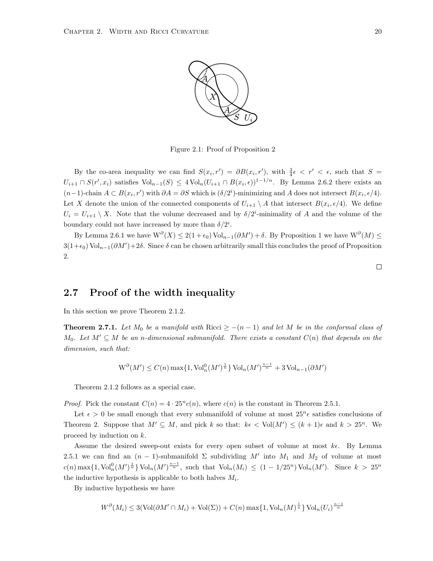

Figure 2.1: Proof of Proposition [2](#page-22-0)

By the co-area inequality we can find  $S(x_i, r') = \partial B(x_i, r')$ , with  $\frac{3}{4}\epsilon < r' < \epsilon$ , such that  $S =$  $U_{i+1} \cap S(r', x_i)$  satisfies  $\text{Vol}_{n-1}(S) \leq 4 \text{Vol}_n (U_{i+1} \cap B(x_i, \epsilon))^{1-1/n}$ . By Lemma [2.6.2](#page-22-1) there exists an  $(n-1)$ -chain  $A \subset B(x_i, r')$  with  $\partial A = \partial S$  which is  $(\delta/2^i)$ -minimizing and A does not intersect  $B(x_i, \epsilon/4)$ . Let X denote the union of the connected components of  $U_{i+1} \setminus A$  that intersect  $B(x_i, \epsilon/4)$ . We define  $U_i = U_{i+1} \setminus X$ . Note that the volume decreased and by  $\delta/2^i$ -minimality of A and the volume of the boundary could not have increased by more than  $\delta/2^i$ .

By Lemma [2.6.1](#page-21-2) we have  $W^{\partial}(X) \leq 2(1+\epsilon_0) \text{Vol}_{n-1}(\partial M') + \delta$ . By Proposition [1](#page-18-0) we have  $W^{\partial}(M) \leq$  $3(1+\epsilon_0) \text{Vol}_{n-1}(\partial M') + 2\delta$ . Since  $\delta$  can be chosen arbitrarily small this concludes the proof of Proposition [2.](#page-22-0)

 $\Box$ 

#### <span id="page-24-0"></span>2.7 Proof of the width inequality

In this section we prove Theorem [2.1.2.](#page-14-0)

<span id="page-24-1"></span>**Theorem 2.7.1.** Let  $M_0$  be a manifold with Ricci  $\geq -(n-1)$  and let M be in the conformal class of  $M_0$ . Let  $M' \subseteq M$  be an n-dimensional submanifold. There exists a constant  $C(n)$  that depends on the dimension, such that:

$$
\operatorname{W}^{\partial}(M') \le C(n) \max\{1, \operatorname{Vol}_n^0(M')^{\frac{1}{n}}\} \operatorname{Vol}_n(M')^{\frac{n-1}{n}} + 3\operatorname{Vol}_{n-1}(\partial M')
$$

Theorem [2.1.2](#page-14-0) follows as a special case.

*Proof.* Pick the constant  $C(n) = 4 \cdot 25^n c(n)$ , where  $c(n)$  is the constant in Theorem [2.5.1.](#page-21-1)

Let  $\epsilon > 0$  be small enough that every submanifold of volume at most  $25^{n} \epsilon$  satisfies conclusions of Theorem [2.](#page-22-0) Suppose that  $M' \subseteq M$ , and pick k so that:  $k \in \text{Vol}(M') \leq (k+1)\epsilon$  and  $k > 25^n$ . We proceed by induction on k.

Assume the desired sweep-out exists for every open subset of volume at most  $k\epsilon$ . By Lemma [2.5.1](#page-21-1) we can find an  $(n-1)$ -submanifold  $\Sigma$  subdividing M' into  $M_1$  and  $M_2$  of volume at most  $c(n) \max\{1, \text{Vol}_n^0(M')^{\frac{1}{n}}\}\text{Vol}_n(M')^{\frac{n-1}{n}}, \text{ such that } \text{Vol}_n(M_i) \le (1 - 1/25^n)\text{Vol}_n(M'). \text{ Since } k > 25^n$ the inductive hypothesis is applicable to both halves  $M_i$ .

By inductive hypothesis we have

$$
W^{\partial}(M_i) \le 3(\text{Vol}(\partial M' \cap M_i) + \text{Vol}(\Sigma)) + C(n) \max\{1, \text{Vol}_n(M)^{\frac{1}{n}}\} \text{Vol}_n(U_i)^{\frac{n-1}{n}}
$$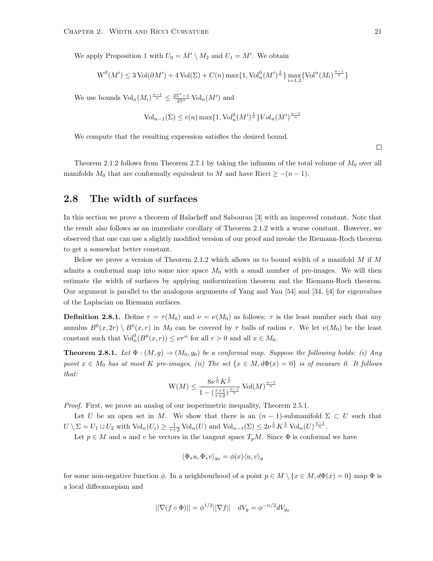We apply Proposition [1](#page-18-0) with  $U_0 = M' \setminus M_2$  and  $U_1 = M'$ . We obtain

$$
\operatorname{W}^{\partial}(M') \le 3\operatorname{Vol}(\partial M') + 4\operatorname{Vol}(\Sigma) + C(n) \max\{1, \operatorname{Vol}^0_n(M')^{\frac{1}{n}}\} \max_{i=1,2} \{\operatorname{Vol}^n(M_i)^{\frac{n-1}{n}}\}
$$

We use bounds  $\text{Vol}_n(M_i) \frac{n-1}{n} \leq \frac{25^n - 1}{25^n} \text{Vol}_n(M')$  and

$$
\text{Vol}_{n-1}(\Sigma) \le c(n) \max\{1, \text{Vol}_n^0(M')^{\frac{1}{n}}\} Vol_n(M')^{\frac{n-1}{n}}
$$

We compute that the resulting expression satisfies the desired bound.

Theorem [2.1.2](#page-14-0) follows from Theorem [2.7.1](#page-24-1) by taking the infimum of the total volume of  $M_0$  over all manifolds  $M_0$  that are conformally equivalent to M and have Ricci  $\geq -(n-1)$ .

#### <span id="page-25-0"></span>2.8 The width of surfaces

In this section we prove a theorem of Balacheff and Sabourau [\[3\]](#page-39-2) with an improved constant. Note that the result also follows as an immediate corollary of Theorem [2.1.2](#page-14-0) with a worse constant. However, we observed that one can use a slightly modified version of our proof and invoke the Riemann-Roch theorem to get a somewhat better constant.

Below we prove a version of Theorem [2.1.2](#page-14-0) which allows us to bound width of a manifold  $M$  if  $M$ admits a conformal map into some nice space  $M_0$  with a small number of pre-images. We will then estimate the width of surfaces by applying uniformization theorem and the Riemann-Roch theorem. Our argument is parallel to the analogous arguments of Yang and Yau [\[54\]](#page-42-3) and [\[34,](#page-41-7) §4] for eigenvalues of the Laplacian on Riemann surfaces.

**Definition 2.8.1.** Define  $\tau = \tau(M_0)$  and  $\nu = \nu(M_0)$  as follows:  $\tau$  is the least number such that any annulus  $B^0(x, 2r) \setminus B^0(x, r)$  in  $M_0$  can be covered by  $\tau$  balls of radius r. We let  $\nu(M_0)$  be the least constant such that  $Vol_n^0(B^0(x,r)) \le \nu r^n$  for all  $r > 0$  and all  $x \in M_0$ .

<span id="page-25-1"></span>**Theorem 2.8.1.** Let  $\Phi : (M, g) \to (M_0, g_0)$  be a conformal map. Suppose the following holds: (i) Any point  $x \in M_0$  has at most K pre-images, (ii) The set  $\{x \in M, d\Phi(x) = 0\}$  is of measure 0. It follows that:

$$
\mathcal{W}(M) \le \frac{8\nu^{\frac{1}{n}} K^{\frac{1}{n}}}{1 - (\frac{\tau + 1}{\tau + 2})^{\frac{n-1}{n}}} \mathop{\text{Vol}}\nolimits(M)^{\frac{n-1}{n}}
$$

*Proof.* First, we prove an analog of our isoperimetric inequality, Theorem [2.5.1.](#page-21-1)

Let U be an open set in M. We show that there is an  $(n-1)$ -submanifold  $\Sigma \subset U$  such that  $U \setminus \Sigma = U_1 \sqcup U_2$  with  $\text{Vol}_n(U_i) \geq \frac{1}{\tau+2} \text{Vol}_n(U)$  and  $\text{Vol}_{n-1}(\Sigma) \leq 2\nu^{\frac{1}{n}} K^{\frac{1}{n}} \text{Vol}_n(U)^{\frac{n-1}{n}}$ .

Let  $p \in M$  and u and v be vectors in the tangent space  $T_pM$ . Since  $\Phi$  is conformal we have

$$
\langle \Phi_* u, \Phi_* v \rangle_{g_0} = \phi(x) \langle u, v \rangle_g
$$

for some non-negative function  $\phi$ . In a neighbourhood of a point  $p \in M \setminus \{x \in M, d\Phi(x) = 0\}$  map  $\Phi$  is a local diffeomorpism and

$$
||\nabla (f \circ \Phi)|| = \phi^{1/2} ||\nabla f|| \quad dV_g = \phi^{-n/2} dV_{g_0}
$$

 $\Box$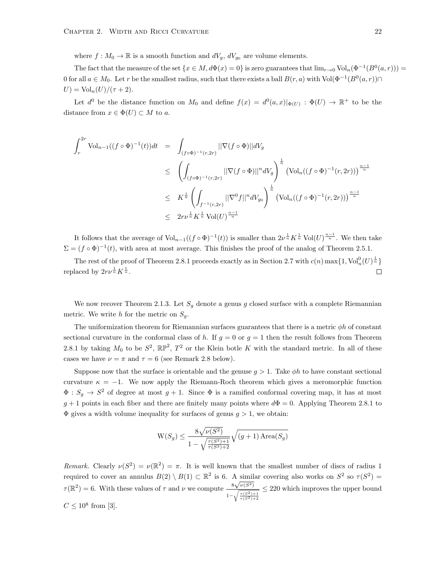where  $f : M_0 \to \mathbb{R}$  is a smooth function and  $dV_g$ ,  $dV_{g_0}$  are volume elements.

The fact that the measure of the set  $\{x \in M, d\Phi(x) = 0\}$  is zero guarantees that  $\lim_{x\to 0} \text{Vol}_n(\Phi^{-1}(B^0(a, r)))$ 0 for all  $a \in M_0$ . Let r be the smallest radius, such that there exists a ball  $B(r, a)$  with Vol $(\Phi^{-1}(B^0(a, r)) \cap$  $U) = \text{Vol}_n(U) / (\tau + 2).$ 

Let  $d^0$  be the distance function on  $M_0$  and define  $f(x) = d^0(a,x)|_{\Phi(U)} : \Phi(U) \to \mathbb{R}^+$  to be the distance from  $x \in \Phi(U) \subset M$  to a.

$$
\int_{r}^{2r} \text{Vol}_{n-1}((f \circ \Phi)^{-1}(t))dt = \int_{(f \circ \Phi)^{-1}(r, 2r)} ||\nabla(f \circ \Phi)||dV_{g}
$$
\n
$$
\leq \left(\int_{(f \circ \Phi)^{-1}(r, 2r)} ||\nabla(f \circ \Phi)||^{n}dV_{g}\right)^{\frac{1}{n}} \left(\text{Vol}_{n}((f \circ \Phi)^{-1}(r, 2r))\right)^{\frac{n-1}{n}}
$$
\n
$$
\leq K^{\frac{1}{n}} \left(\int_{f^{-1}(r, 2r)} ||\nabla^{0}f||^{n}dV_{g_{0}}\right)^{\frac{1}{n}} \left(\text{Vol}_{n}((f \circ \Phi)^{-1}(r, 2r))\right)^{\frac{n-1}{n}}
$$
\n
$$
\leq 2r\nu^{\frac{1}{n}} K^{\frac{1}{n}} \text{Vol}(U)^{\frac{n-1}{n}}
$$

It follows that the average of  $Vol_{n-1}((f \circ \Phi)^{-1}(t))$  is smaller than  $2\nu^{\frac{1}{n}} K^{\frac{1}{n}} Vol(U)^{\frac{n-1}{n}}$ . We then take  $\Sigma = (f \circ \Phi)^{-1}(t)$ , with area at most average. This finishes the proof of the analog of Theorem [2.5.1.](#page-21-1)

The rest of the proof of Theorem [2.8.1](#page-25-1) proceeds exactly as in Section [2.7](#page-24-0) with  $c(n) \max\{1, \text{Vol}_n^0(U)^{\frac{1}{n}}\}$ replaced by  $2r\nu^{\frac{1}{n}}K^{\frac{1}{n}}$ .  $\Box$ 

We now recover Theorem [2.1.3.](#page-14-1) Let  $S_q$  denote a genus g closed surface with a complete Riemannian metric. We write h for the metric on  $S_q$ .

The uniformization theorem for Riemannian surfaces guarantees that there is a metric  $\phi h$  of constant sectional curvature in the conformal class of h. If  $g = 0$  or  $g = 1$  then the result follows from Theorem [2.8.1](#page-25-1) by taking  $M_0$  to be  $S^2$ ,  $\mathbb{RP}^2$ ,  $T^2$  or the Klein botle K with the standard metric. In all of these cases we have  $\nu = \pi$  and  $\tau = 6$  (see Remark [2.8](#page-25-1) below).

Suppose now that the surface is orientable and the genuse  $q > 1$ . Take  $\phi h$  to have constant sectional curvature  $\kappa = -1$ . We now apply the Riemann-Roch theorem which gives a meromorphic function  $\Phi: S_g \to S^2$  of degree at most  $g+1$ . Since  $\Phi$  is a ramified conformal covering map, it has at most  $g + 1$  points in each fiber and there are finitely many points where  $d\Phi = 0$ . Applying Theorem [2.8.1](#page-25-1) to  $\Phi$  gives a width volume inequality for surfaces of genus  $q > 1$ , we obtain:

$$
W(S_g) \le \frac{8\sqrt{\nu(S^2)}}{1 - \sqrt{\frac{\tau(S^2) + 1}{\tau(S^2) + 2}}} \sqrt{(g+1) \text{ Area}(S_g)}
$$

Remark. Clearly  $\nu(S^2) = \nu(\mathbb{R}^2) = \pi$ . It is well known that the smallest number of discs of radius 1 required to cover an annulus  $B(2) \setminus B(1) \subset \mathbb{R}^2$  is 6. A similar covering also works on  $S^2$  so  $\tau(S^2)$  =  $\tau(\mathbb{R}^2) = 6$ . With these values of  $\tau$  and  $\nu$  we compute  $\frac{8}{\tau}$  $\sqrt{\nu(S^2)}$  $1-\sqrt{\frac{\tau(S^2)+1}{\tau(S^2)+2}}$  $\leq$  220 which improves the upper bound  $C \le 10^8$  from [\[3\]](#page-39-2).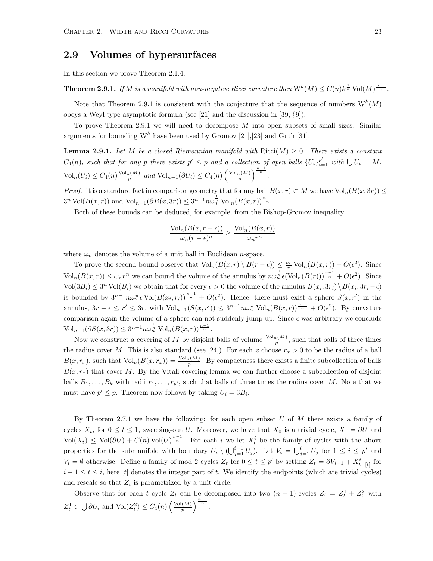#### <span id="page-27-0"></span>2.9 Volumes of hypersurfaces

In this section we prove Theorem [2.1.4.](#page-15-1)

<span id="page-27-1"></span>**Theorem 2.9.1.** If M is a manifold with non-negative Ricci curvature then  $W^{k}(M) \leq C(n)k^{\frac{1}{n}}$  Vol $(M)^{\frac{n-1}{n}}$ .

Note that Theorem [2.9.1](#page-27-1) is consistent with the conjecture that the sequence of numbers  $W^{k}(M)$ obeys a Weyl type asymptotic formula (see [\[21\]](#page-40-6) and the discussion in [\[39,](#page-41-2) §9]).

To prove Theorem [2.9.1](#page-27-1) we will need to decompose  $M$  into open subsets of small sizes. Similar arguments for bounding  $W^k$  have been used by Gromov [\[21\]](#page-40-6), [\[23\]](#page-40-15) and Guth [\[31\]](#page-40-9).

**Lemma 2.9.1.** Let M be a closed Riemannian manifold with  $Ricci(M) \geq 0$ . There exists a constant  $C_4(n)$ , such that for any p there exists  $p' \leq p$  and a collection of open balls  $\{U_i\}_{i=1}^{p'}$  with  $\bigcup U_i = M$ ,  $\mathrm{Vol}_n(U_i) \leq C_4(n) \frac{\mathrm{Vol}_n(M)}{p}$  and  $\mathrm{Vol}_{n-1}(\partial U_i) \leq C_4(n) \left(\frac{\mathrm{Vol}_n(M)}{p}\right)^{\frac{n-1}{n}}$ .

*Proof.* It is a standard fact in comparison geometry that for any ball  $B(x, r) \subset M$  we have  $Vol_n(B(x, 3r)) \leq$  $3^{n} \text{Vol}(B(x,r))$  and  $\text{Vol}_{n-1}(\partial B(x,3r)) \leq 3^{n-1} n \omega_n^{\frac{1}{n}} \text{Vol}_n(B(x,r))^{\frac{n-1}{n}}$ .

Both of these bounds can be deduced, for example, from the Bishop-Gromov inequality

$$
\frac{\text{Vol}_n(B(x, r - \epsilon))}{\omega_n (r - \epsilon)^n} \ge \frac{\text{Vol}_n(B(x, r))}{\omega_n r^n}
$$

where  $\omega_n$  denotes the volume of a unit ball in Euclidean *n*-space.

To prove the second bound observe that  $\text{Vol}_n(B(x,r) \setminus B(r - \epsilon)) \leq \frac{n\epsilon}{r} \text{Vol}_n(B(x,r)) + O(\epsilon^2)$ . Since  $\text{Vol}_n(B(x,r)) \leq \omega_n r^n$  we can bound the volume of the annulus by  $n\omega_n^{\frac{1}{n}} \epsilon (\text{Vol}_n(B(r)))^{\frac{n-1}{n}} + O(\epsilon^2)$ . Since  $\text{Vol}(3B_i) \leq 3^n \text{Vol}(B_i)$  we obtain that for every  $\epsilon > 0$  the volume of the annulus  $B(x_i, 3r_i) \setminus B(x_i, 3r_i - \epsilon)$ is bounded by  $3^{n-1}n\omega_n^{\frac{1}{n}}\epsilon \text{Vol}(B(x_i,r_i))^{\frac{n-1}{n}}+O(\epsilon^2)$ . Hence, there must exist a sphere  $S(x,r')$  in the annulus,  $3r - \epsilon \leq r' \leq 3r$ , with  $\text{Vol}_{n-1}(S(x,r')) \leq 3^{n-1} n \omega_n^{\frac{1}{n}} \text{Vol}_n(B(x,r))^{\frac{n-1}{n}} + O(\epsilon^2)$ . By curvature comparison again the volume of a sphere can not suddenly jump up. Since  $\epsilon$  was arbitrary we conclude  $\text{Vol}_{n-1}(\partial S(x, 3r)) \leq 3^{n-1} n \omega_n^{\frac{1}{n}} \text{Vol}_n(B(x, r))^{\frac{n-1}{n}}.$ 

Now we construct a covering of M by disjoint balls of volume  $\frac{\text{Vol}_n(M)}{p}$ , such that balls of three times the radius cover M. This is also standard (see [\[24\]](#page-40-16)). For each x choose  $r_x > 0$  to be the radius of a ball  $B(x, r_x)$ , such that  $\text{Vol}_n(B(x, r_x)) = \frac{\text{Vol}_n(M)}{p}$ . By compactness there exists a finite subcollection of balls  $B(x, r<sub>x</sub>)$  that cover M. By the Vitali covering lemma we can further choose a subcollection of disjoint balls  $B_1, \ldots, B_k$  with radii  $r_1, \ldots, r_{p'}$ , such that balls of three times the radius cover M. Note that we must have  $p' \leq p$ . Theorem now follows by taking  $U_i = 3B_i$ .

$$
\qquad \qquad \Box
$$

By Theorem [2.7.1](#page-24-1) we have the following: for each open subset  $U$  of  $M$  there exists a family of cycles  $X_t$ , for  $0 \le t \le 1$ , sweeping-out U. Moreover, we have that  $X_0$  is a trivial cycle,  $X_1 = \partial U$  and  $\text{Vol}(X_t) \leq \text{Vol}(\partial U) + C(n) \text{Vol}(U)^{\frac{n-1}{n}}$ . For each i we let  $X_t^i$  be the family of cycles with the above properties for the submanifold with boundary  $U_i \setminus (\bigcup_{j=1}^{i-1} U_j)$ . Let  $V_i = \bigcup_{j=1}^{i} U_j$  for  $1 \leq i \leq p'$  and  $V_i = \emptyset$  otherwise. Define a family of mod 2 cycles  $Z_t$  for  $0 \le t \le p'$  by setting  $Z_t = \partial V_{i-1} + X_{t-[t]}^i$  for  $i-1 \leq t \leq i$ , here [t] denotes the integer part of t. We identify the endpoints (which are trivial cycles) and rescale so that  $Z_t$  is parametrized by a unit circle.

Observe that for each t cycle  $Z_t$  can be decomposed into two  $(n-1)$ -cycles  $Z_t = Z_t^1 + Z_t^2$  with  $Z_t^1 \subset \bigcup \partial U_i$  and  $\text{Vol}(Z_t^2) \leq C_4(n) \left(\frac{\text{Vol}(M)}{p}\right)$  $\frac{(M)}{p}$  $\Big)^{\frac{n-1}{n}}$ .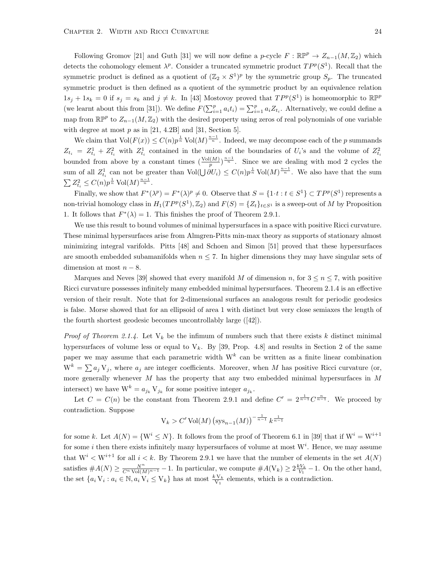Following Gromov [\[21\]](#page-40-6) and Guth [\[31\]](#page-40-9) we will now define a p-cycle  $F : \mathbb{RP}^p \to Z_{n-1}(M, \mathbb{Z}_2)$  which detects the cohomology element  $\lambda^p$ . Consider a truncated symmetric product  $TP^p(S^1)$ . Recall that the symmetric product is defined as a quotient of  $(\mathbb{Z}_2 \times S^1)^p$  by the symmetric group  $S_p$ . The truncated symmetric product is then defined as a quotient of the symmetric product by an equivalence relation  $1s_j + 1s_k = 0$  if  $s_j = s_k$  and  $j \neq k$ . In [\[43\]](#page-41-15) Mostovoy proved that  $TP^p(S^1)$  is homeomorphic to  $\mathbb{RP}^p$ (we learnt about this from [\[31\]](#page-40-9)). We define  $F(\sum_{i=1}^p a_i t_i) = \sum_{i=1}^p a_i Z_{t_i}$ . Alternatively, we could define a map from  $\mathbb{RP}^p$  to  $Z_{n-1}(M, \mathbb{Z}_2)$  with the desired property using zeros of real polynomials of one variable with degree at most  $p$  as in [\[21,](#page-40-6) 4.2B] and [\[31,](#page-40-9) Section 5].

We claim that  $Vol(F(x)) \leq C(n) p^{\frac{1}{n}}$  Vol $(M)^{\frac{n-1}{n}}$ . Indeed, we may decompose each of the p summands  $Z_{t_i} = Z_{t_i}^1 + Z_{t_i}^2$  with  $Z_{t_i}^1$  contained in the union of the boundaries of  $U_i$ 's and the volume of  $Z_{t_i}^2$ bounded from above by a constant times  $(\frac{\text{Vol}(M)}{p})^{\frac{n-1}{n}}$ . Since we are dealing with mod 2 cycles the sum of all  $Z_{t_i}^1$  can not be greater than  $\text{Vol}(\bigcup \partial U_i) \leq C(n)p^{\frac{1}{n}} \text{Vol}(M)^{\frac{n-1}{n}}$ . We also have that the sum  $\sum Z_{t_i}^2 \le C(n) p^{\frac{1}{n}} \text{Vol}(M)^{\frac{n-1}{n}}.$ 

Finally, we show that  $F^*(\lambda^p) = F^*(\lambda)^p \neq 0$ . Observe that  $S = \{1 \cdot t : t \in S^1\} \subset TP^p(S^1)$  represents a non-trivial homology class in  $H_1(TP^p(S^1), \mathbb{Z}_2)$  and  $F(S) = \{Z_t\}_{t \in S^1}$  is a sweep-out of M by Proposition [1.](#page-18-0) It follows that  $F^*(\lambda) = 1$ . This finishes the proof of Theorem [2.9.1.](#page-27-1)

We use this result to bound volumes of minimal hypersurfaces in a space with positive Ricci curvature. These minimal hypersurfaces arise from Almgren-Pitts min-max theory as supports of stationary almost minimizing integral varifolds. Pitts [\[48\]](#page-41-1) and Schoen and Simon [\[51\]](#page-42-1) proved that these hypersurfaces are smooth embedded subamanifolds when  $n \leq 7$ . In higher dimensions they may have singular sets of dimension at most  $n - 8$ .

Marques and Neves [\[39\]](#page-41-2) showed that every manifold M of dimension n, for  $3 \le n \le 7$ , with positive Ricci curvature possesses infinitely many embedded minimal hypersurfaces. Theorem [2.1.4](#page-15-1) is an effective version of their result. Note that for 2-dimensional surfaces an analogous result for periodic geodesics is false. Morse showed that for an ellipsoid of area 1 with distinct but very close semiaxes the length of the fourth shortest geodesic becomes uncontrollably large([\[42\]](#page-41-16)).

*Proof of Theorem [2.1.4.](#page-15-1)* Let  $V_k$  be the infimum of numbers such that there exists k distinct minimal hypersurfaces of volume less or equal to  $V_k$ . By [\[39,](#page-41-2) Prop. 4.8] and results in Section 2 of the same paper we may assume that each parametric width  $W^k$  can be written as a finite linear combination  $W^k = \sum a_j V_j$ , where  $a_j$  are integer coefficients. Moreover, when M has positive Ricci curvature (or, more generally whenever  $M$  has the property that any two embedded minimal hypersurfaces in  $M$ intersect) we have  $W^k = a_{j_k} V_{j_k}$  for some positive integer  $a_{j_k}$ .

Let  $C = C(n)$  be the constant from Theorem [2.9.1](#page-27-1) and define  $C' = 2^{\frac{1}{n-1}} C^{\frac{n}{n-1}}$ . We proceed by contradiction. Suppose

$$
V_k > C' \operatorname{Vol}(M) \left( \operatorname{sys}_{n-1}(M) \right)^{-\frac{1}{n-1}} k^{\frac{1}{n-1}}
$$

for some k. Let  $A(N) = \{W^i \leq N\}$ . It follows from the proof of Theorem 6.1 in [\[39\]](#page-41-2) that if  $W^i = W^{i+1}$ for some *i* then there exists infinitely many hypersurfaces of volume at most  $W<sup>i</sup>$ . Hence, we may assume that  $W^i \lt W^{i+1}$  for all  $i \lt k$ . By Theorem [2.9.1](#page-27-1) we have that the number of elements in the set  $A(N)$ satisfies  $#A(N) \ge \frac{N^n}{C^n \text{Vol}(M)^{n-1}} - 1$ . In particular, we compute  $#A(V_k) \ge 2\frac{kV_k}{V_1} - 1$ . On the other hand, the set  $\{a_i V_i : a_i \in \mathbb{N}, a_i V_i \leq V_k\}$  has at most  $\frac{k V_k}{V_1}$  elements, which is a contradiction.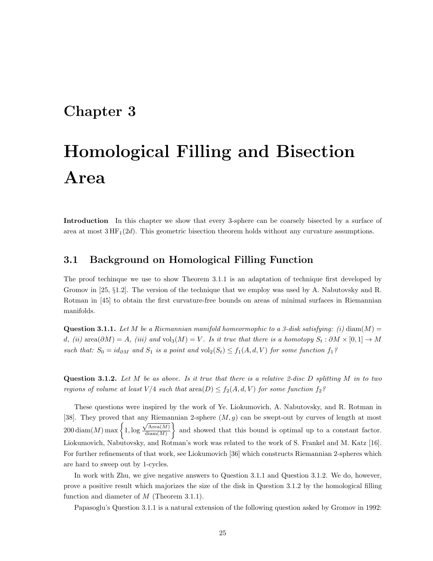## <span id="page-29-0"></span>Chapter 3

# Homological Filling and Bisection Area

Introduction In this chapter we show that every 3-sphere can be coarsely bisected by a surface of area at most  $3HF_1(2d)$ . This geometric bisection theorem holds without any curvature assumptions.

#### <span id="page-29-1"></span>3.1 Background on Homological Filling Function

The proof techinque we use to show Theorem [3.1.1](#page-30-0) is an adaptation of technique first developed by Gromov in [\[25,](#page-40-8) §1.2]. The version of the technique that we employ was used by A. Nabutovsky and R. Rotman in [\[45\]](#page-41-6) to obtain the first curvature-free bounds on areas of minimal surfaces in Riemannian manifolds.

<span id="page-29-2"></span>**Question 3.1.1.** Let M be a Riemannian manifold homeormophic to a 3-disk satisfying: (i) diam(M) = d, (ii) area $(\partial M) = A$ , (iii) and vol<sub>3</sub> $(M) = V$ . Is it true that there is a homotopy  $S_t : \partial M \times [0,1] \to M$ such that:  $S_0 = id_{\partial M}$  and  $S_1$  is a point and  $\text{vol}_2(S_t) \leq f_1(A, d, V)$  for some function  $f_1$ ?

<span id="page-29-3"></span>**Question 3.1.2.** Let M be as above. Is it true that there is a relative 2-disc D splitting M in to two regions of volume at least  $V/4$  such that  $area(D) \le f_2(A, d, V)$  for some function  $f_2$ ?

These questions were inspired by the work of Ye. Liokumovich, A. Nabutovsky, and R. Rotman in [\[38\]](#page-41-4). They proved that any Riemannian 2-sphere  $(M, g)$  can be swept-out by curves of length at most  $200 \operatorname{diam}(M) \max \bigg\{ 1, \log$  $\sqrt{\text{Area}(M)}$  $diam(M)$  and showed that this bound is optimal up to a constant factor. Liokumovich, Nabutovsky, and Rotman's work was related to the work of S. Frankel and M. Katz [\[16\]](#page-40-2). For further refinements of that work, see Liokumovich [\[36\]](#page-41-13) which constructs Riemannian 2-spheres which are hard to sweep out by 1-cycles.

In work with Zhu, we give negative answers to Question [3.1.1](#page-29-2) and Question [3.1.2.](#page-29-3) We do, however, prove a positive result which majorizes the size of the disk in Question [3.1.2](#page-29-3) by the homological filling function and diameter of  $M$  (Theorem [3.1.1\)](#page-30-0).

Papasoglu's Question [3.1.1](#page-29-2) is a natural extension of the following question asked by Gromov in 1992: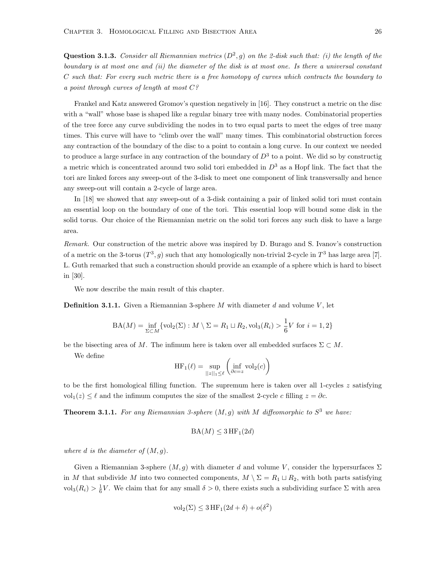**Question 3.1.3.** Consider all Riemannian metrics  $(D^2, g)$  on the 2-disk such that: (i) the length of the boundary is at most one and (ii) the diameter of the disk is at most one. Is there a universal constant C such that: For every such metric there is a free homotopy of curves which contracts the boundary to a point through curves of length at most  $C$ ?

Frankel and Katz answered Gromov's question negatively in [\[16\]](#page-40-2). They construct a metric on the disc with a "wall" whose base is shaped like a regular binary tree with many nodes. Combinatorial properties of the tree force any curve subdividing the nodes in to two equal parts to meet the edges of tree many times. This curve will have to "climb over the wall" many times. This combinatorial obstruction forces any contraction of the boundary of the disc to a point to contain a long curve. In our context we needed to produce a large surface in any contraction of the boundary of  $D^3$  to a point. We did so by constructig a metric which is concentrated around two solid tori embedded in  $D^3$  as a Hopf link. The fact that the tori are linked forces any sweep-out of the 3-disk to meet one component of link transversally and hence any sweep-out will contain a 2-cycle of large area.

In [\[18\]](#page-40-1) we showed that any sweep-out of a 3-disk containing a pair of linked solid tori must contain an essential loop on the boundary of one of the tori. This essential loop will bound some disk in the solid torus. Our choice of the Riemannian metric on the solid tori forces any such disk to have a large area.

Remark. Our construction of the metric above was inspired by D. Burago and S. Ivanov's construction of a metric on the 3-torus  $(T^3, g)$  such that any homologically non-trivial 2-cycle in  $T^3$  has large area [\[7\]](#page-39-11). L. Guth remarked that such a construction should provide an example of a sphere which is hard to bisect in [\[30\]](#page-40-4).

We now describe the main result of this chapter.

**Definition 3.1.1.** Given a Riemannian 3-sphere M with diameter d and volume V, let

$$
BA(M) = \inf_{\Sigma \subset M} \{ \text{vol}_2(\Sigma) : M \setminus \Sigma = R_1 \sqcup R_2, \text{vol}_3(R_i) > \frac{1}{6} V \text{ for } i = 1, 2 \}
$$

be the bisecting area of M. The infimum here is taken over all embedded surfaces  $\Sigma \subset M$ .

We define

$$
\operatorname{HF}_1(\ell) = \sup_{||z||_1 \le \ell} \left( \inf_{\partial c = z} \operatorname{vol}_2(c) \right)
$$

to be the first homological filling function. The supremum here is taken over all 1-cycles  $z$  satisfying vol<sub>1</sub>(z) ≤  $\ell$  and the infimum computes the size of the smallest 2-cycle c filling  $z = \partial c$ .

<span id="page-30-0"></span>**Theorem 3.1.1.** For any Riemannian 3-sphere  $(M, g)$  with M diffeomorphic to  $S<sup>3</sup>$  we have:

$$
\text{BA}(M) \leq 3 \text{ HF}_1(2d)
$$

where d is the diameter of  $(M, g)$ .

Given a Riemannian 3-sphere  $(M, g)$  with diameter d and volume V, consider the hypersurfaces  $\Sigma$ in M that subdivide M into two connected components,  $M \setminus \Sigma = R_1 \sqcup R_2$ , with both parts satisfying  $\text{vol}_3(R_i) > \frac{1}{6}V$ . We claim that for any small  $\delta > 0$ , there exists such a subdividing surface  $\Sigma$  with area

$$
\text{vol}_2(\Sigma) \le 3 \text{ HF}_1(2d + \delta) + o(\delta^2)
$$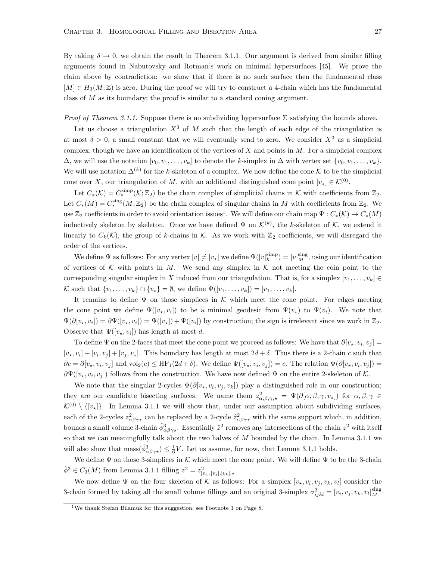By taking  $\delta \to 0$ , we obtain the result in Theorem [3.1.1.](#page-30-0) Our argument is derived from similar filling arguments found in Nabutovsky and Rotman's work on minimal hypersurfaces [\[45\]](#page-41-6). We prove the claim above by contradiction: we show that if there is no such surface then the fundamental class  $[M] \in H_3(M;\mathbb{Z})$  is zero. During the proof we will try to construct a 4-chain which has the fundamental class of  $M$  as its boundary; the proof is similar to a standard coning argument.

*Proof of Theorem [3.1.1.](#page-30-0)* Suppose there is no subdividing hypersurface  $\Sigma$  satisfying the bounds above.

Let us choose a triangulation  $X<sup>3</sup>$  of M such that the length of each edge of the triangulation is at most  $\delta > 0$ , a small constant that we will eventually send to zero. We consider  $X^3$  as a simplicial complex, though we have an identification of the vertices of  $X$  and points in  $M$ . For a simplicial complex  $\Delta$ , we will use the notation  $[v_0, v_1, \ldots, v_k]$  to denote the k-simplex in  $\Delta$  with vertex set  $\{v_0, v_1, \ldots, v_k\}$ . We will use notation  $\Delta^{(k)}$  for the k-skeleton of a complex. We now define the cone K to be the simplicial cone over X, our triangulation of M, with an additional distinguished cone point  $[v_*] \in \mathcal{K}^{(0)}$ .

Let  $C_*(\mathcal{K}) = C_*^{\text{simp}}(\mathcal{K}; \mathbb{Z}_2)$  be the chain complex of simplicial chains in  $\mathcal{K}$  with coefficients from  $\mathbb{Z}_2$ . Let  $C_*(M) = C_*^{\text{sing}}(M; \mathbb{Z}_2)$  be the chain complex of singular chains in M with coefficients from  $\mathbb{Z}_2$ . We use  $\mathbb{Z}_2$  coefficients in order to avoid orientation issues<sup>[1](#page-0-0)</sup>. We will define our chain map  $\Psi: C_*(\mathcal{K}) \to C_*(M)$ inductively skeleton by skeleton. Once we have defined  $\Psi$  on  $\mathcal{K}^{(k)}$ , the k-skeleton of  $\mathcal{K}$ , we extend it linearly to  $C_k(\mathcal{K})$ , the group of k-chains in  $\mathcal{K}$ . As we work with  $\mathbb{Z}_2$  coefficients, we will disregard the order of the vertices.

We define  $\Psi$  as follows: For any vertex  $[v] \neq [v_*]$  we define  $\Psi([v_{\mathcal{K}}^{\text{simp}}) = [v_{\mathcal{M}}^{\text{sing}}]$ , using our identification of vertices of K with points in M. We send any simplex in K not meeting the coin point to the corresponding singular simplex in X induced from our triangulation. That is, for a simplex  $[v_1, \ldots, v_k] \in$ K such that  $\{v_1, \ldots, v_k\} \cap \{v_*\} = ∅$ , we define  $\Psi([v_1, \ldots, v_k]) = [v_1, \ldots, v_k]$ .

It remains to define  $\Psi$  on those simplices in K which meet the cone point. For edges meeting the cone point we define  $\Psi([v_*, v_i])$  to be a minimal geodesic from  $\Psi(v_*)$  to  $\Psi(v_i)$ . We note that  $\Psi(\partial[v_\star, v_i]) = \partial \Psi([v_\star, v_i]) = \Psi([v_\star]) + \Psi([v_i])$  by construction; the sign is irrelevant since we work in  $\mathbb{Z}_2$ . Observe that  $\Psi([v_\star, v_i])$  has length at most d.

To define  $\Psi$  on the 2-faces that meet the cone point we proceed as follows: We have that  $\partial[v_\star, v_i, v_j] =$  $[v_\star, v_i] + [v_i, v_j] + [v_j, v_\star]$ . This boundary has length at most  $2d + \delta$ . Thus there is a 2-chain c such that  $\partial c = \partial [v_*, v_i, v_j]$  and  $\text{vol}_2(c) \le \text{HF}_1(2d + \delta)$ . We define  $\Psi([v_*, v_i, v_j]) = c$ . The relation  $\Psi(\partial [v_*, v_i, v_j]) = c$  $\partial \Psi([v_*, v_i, v_j])$  follows from the construction. We have now defined  $\Psi$  on the entire 2-skeleton of K.

We note that the singular 2-cycles  $\Psi(\partial[v_*, v_i, v_j, v_k])$  play a distinguished role in our construction; they are our candidate bisecting surfaces. We name them  $z^2_{\alpha,\beta,\gamma,\star} = \Psi(\partial[\alpha,\beta,\gamma,v_\star])$  for  $\alpha,\beta,\gamma \in$  $\mathcal{K}^{(0)} \setminus \{[v_{\star}]\}\.$  In Lemma [3.1.1](#page-32-0) we will show that, under our assumption about subdividing surfaces, each of the 2-cycles  $z_{\alpha\beta\gamma\star}^2$  can be replaced by a 2-cycle  $\hat{z}_{\alpha\beta\gamma\star}^2$  with the same support which, in addition, bounds a small volume 3-chain  $\hat{\phi}^3_{\alpha\beta\gamma\star}$ . Essentially  $\hat{z}^2$  removes any intersections of the chain  $z^2$  with itself so that we can meaningfully talk about the two halves of  $M$  bounded by the chain. In Lemma [3.1.1](#page-32-0) we will also show that  $\max(\hat{\phi}^3_{\alpha\beta\gamma\star}) \leq \frac{1}{6}V$ . Let us assume, for now, that Lemma [3.1.1](#page-32-0) holds.

We define  $\Psi$  on those 3-simplices in K which meet the cone point. We will define  $\Psi$  to be the 3-chain  $\hat{\phi}^3 \in C_3(M)$  from Lemma [3.1.1](#page-32-0) filling  $z^2 = z^2_{[v_i],[v_j],[v_k],\star}$ .

We now define  $\Psi$  on the four skeleton of K as follows: For a simplex  $[v_\star, v_i, v_j, v_k, v_l]$  consider the 3-chain formed by taking all the small volume fillings and an original 3-simplex  $\sigma_{ijkl}^3 = [v_i, v_j, v_k, v_l]_M^{\text{sing}}$ 

<sup>&</sup>lt;sup>1</sup>We thank Stefan Bilaniuk for this suggestion, see Footnote [1](#page-12-0) on Page [8.](#page-12-0)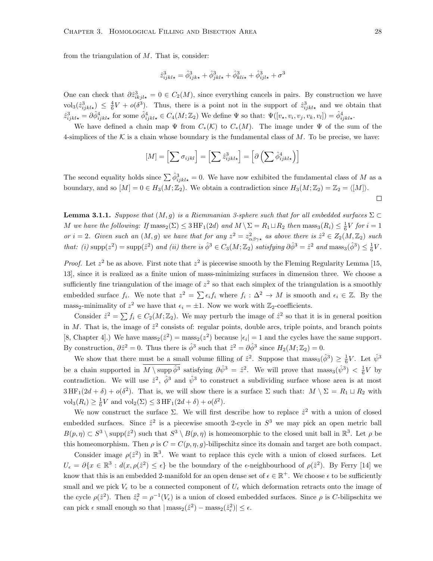from the triangulation of  $M$ . That is, consider:

$$
\hat{z}_{ijkl\star}^3 = \hat{\phi}_{ijk\star}^3 + \hat{\phi}_{jkl\star}^3 + \hat{\phi}_{kli\star}^3 + \hat{\phi}_{ijl\star}^3 + \sigma^3
$$

One can check that  $\partial \hat{z}_{ikjl\star}^3 = 0 \in C_2(M)$ , since everything cancels in pairs. By construction we have  $\mathrm{vol}_3(\hat{z}_{ijkl\star}^3) \leq \frac{4}{6}V + o(\delta^3)$ . Thus, there is a point not in the support of  $\hat{z}_{ijkl\star}^3$  and we obtain that  $\hat{z}_{ijkl\star}^3 = \partial \hat{\phi}_{ijkl\star}^4$  for some  $\hat{\phi}_{ijkl\star}^4 \in C_4(M; \mathbb{Z}_2)$  We define  $\Psi$  so that:  $\Psi([v_\star, v_i, v_j, v_k, v_l]) = \hat{\phi}_{ijkl\star}^4$ .

We have defined a chain map  $\Psi$  from  $C_*(\mathcal{K})$  to  $C_*(M)$ . The image under  $\Psi$  of the sum of the 4-simplices of the K is a chain whose boundary is the fundamental class of M. To be precise, we have:

$$
[M] = \left[\sum \sigma_{ijkl}\right] = \left[\sum \hat{z}_{ijkl\star}^3\right] = \left[\partial \left(\sum \hat{\phi}_{ijkl\star}^4\right)\right]
$$

The second equality holds since  $\sum \hat{\phi}_{ijkl\star}^3 = 0$ . We have now exhibited the fundamental class of M as a boundary, and so  $[M] = 0 \in H_3(M; \mathbb{Z}_2)$ . We obtain a contradiction since  $H_3(M; \mathbb{Z}_2) = \mathbb{Z}_2 = \langle [M] \rangle$ .

<span id="page-32-0"></span>**Lemma 3.1.1.** Suppose that  $(M, q)$  is a Riemmanian 3-sphere such that for all embedded surfaces  $\Sigma \subset$ M we have the following: If  $\text{mass}_2(\Sigma) \leq 3 \text{HF}_1(2d)$  and  $M \setminus \Sigma = R_1 \sqcup R_2$  then  $\text{mass}_3(R_i) \leq \frac{1}{6}V$  for  $i = 1$ or  $i = 2$ . Given such an  $(M, g)$  we have that for any  $z^2 = z^2_{\alpha\beta\gamma\star}$  as above there is  $\hat{z}^2 \in Z_2(M, \mathbb{Z}_2)$  such that: (i)  $\text{supp}(z^2) = \text{supp}(\hat{z}^2)$  and (ii) there is  $\hat{\phi}^3 \in C_3(M; \mathbb{Z}_2)$  satisfying  $\partial \hat{\phi}^3 = \hat{z}^2$  and  $\text{mass}_3(\hat{\phi}^3) \leq \frac{1}{6}V$ .

*Proof.* Let  $z^2$  be as above. First note that  $z^2$  is piecewise smooth by the Fleming Regularity Lemma [\[15,](#page-40-17) [13\]](#page-39-8), since it is realized as a finite union of mass-minimizing surfaces in dimension three. We choose a sufficiently fine triangulation of the image of  $z^2$  so that each simplex of the triangulation is a smoothly embedded surface  $f_i$ . We note that  $z^2 = \sum \epsilon_i f_i$  where  $f_i : \Delta^2 \to M$  is smooth and  $\epsilon_i \in \mathbb{Z}$ . By the mass<sub>2</sub>-minimality of  $z^2$  we have that  $\epsilon_i = \pm 1$ . Now we work with  $\mathbb{Z}_2$ -coefficients.

Consider  $\hat{z}^2 = \sum f_i \in C_2(M; \mathbb{Z}_2)$ . We may perturb the image of  $\hat{z}^2$  so that it is in general position in M. That is, the image of  $\hat{z}^2$  consists of: regular points, double arcs, triple points, and branch points [\[8,](#page-39-12) Chapter 4].) We have  $\text{mass}_2(\hat{z}^2) = \text{mass}_2(z^2)$  because  $|\epsilon_i| = 1$  and the cycles have the same support. By construction,  $\partial \hat{z}^2 = 0$ . Thus there is  $\hat{\phi}^3$  such that  $\hat{z}^2 = \partial \hat{\phi}^3$  since  $H_2(M; \mathbb{Z}_2) = 0$ .

We show that there must be a small volume filling of  $\hat{z}^2$ . Suppose that  $\text{mass}_3(\hat{\phi}^3) \geq \frac{1}{6}V$ . Let  $\hat{\psi}^3$ be a chain supported in  $M \setminus \text{supp }\hat{\phi}^3$  satisfying  $\partial \hat{\psi}^3 = \hat{z}^2$ . We will prove that  $\text{mass}_3(\hat{\psi}^3) < \frac{1}{6}V$  by contradiction. We will use  $\hat{z}^2$ ,  $\hat{\phi}^3$  and  $\hat{\psi}^3$  to construct a subdividing surface whose area is at most  $3 \text{HF}_1(2d + \delta) + o(\delta^2)$ . That is, we will show there is a surface  $\Sigma$  such that:  $M \setminus \Sigma = R_1 \sqcup R_2$  with  $\text{vol}_3(R_i) \geq \frac{1}{6}V \text{ and } \text{vol}_2(\Sigma) \leq 3 \text{ HF}_1(2d + \delta) + o(\delta^2).$ 

We now construct the surface  $\Sigma$ . We will first describe how to replace  $\hat{z}^2$  with a union of closed embedded surfaces. Since  $\hat{z}^2$  is a piecewise smooth 2-cycle in  $S^3$  we may pick an open metric ball  $B(p,\eta) \subset S^3 \setminus \text{supp}(\hat{z}^2)$  such that  $S^3 \setminus B(p,\eta)$  is homeomorphic to the closed unit ball in  $\mathbb{R}^3$ . Let  $\rho$  be this homeomorphism. Then  $\rho$  is  $C = C(p, \eta, g)$ -bilipschitz since its domain and target are both compact.

Consider image  $\rho(\hat{z}^2)$  in  $\mathbb{R}^3$ . We want to replace this cycle with a union of closed surfaces. Let  $U_{\epsilon} = \partial \{x \in \mathbb{R}^3 : d(x, \rho(\hat{z}^2) \leq \epsilon\}$  be the boundary of the  $\epsilon$ -neighbourhood of  $\rho(\hat{z}^2)$ . By Ferry [\[14\]](#page-39-13) we know that this is an embedded 2-manifold for an open dense set of  $\epsilon \in \mathbb{R}^+$ . We choose  $\epsilon$  to be sufficiently small and we pick  $V_{\epsilon}$  to be a connected component of  $U_{\epsilon}$  which deformation retracts onto the image of the cycle  $\rho(\hat{z}^2)$ . Then  $\hat{z}^2_{\epsilon} = \rho^{-1}(V_{\epsilon})$  is a union of closed embedded surfaces. Since  $\rho$  is C-bilipschitz we can pick  $\epsilon$  small enough so that  $|\text{mass}_2(\hat{z}^2) - \text{mass}_2(\hat{z}_{\epsilon}^2)| \leq \epsilon$ .

 $\Box$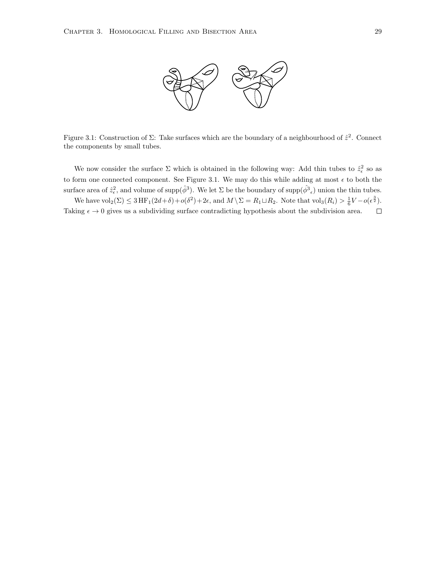

<span id="page-33-0"></span>Figure 3.1: Construction of  $\Sigma$ : Take surfaces which are the boundary of a neighbourhood of  $\hat{z}^2$ . Connect the components by small tubes.

We now consider the surface  $\Sigma$  which is obtained in the following way: Add thin tubes to  $\hat{z}_{\epsilon}^2$  so as to form one connected component. See Figure [3.1.](#page-33-0) We may do this while adding at most  $\epsilon$  to both the surface area of  $\hat{z}_{\epsilon}^2$ , and volume of supp $(\hat{\phi}^3)$ . We let  $\Sigma$  be the boundary of supp $(\hat{\phi}^3_{\epsilon})$  union the thin tubes.

We have  $\text{vol}_2(\Sigma) \leq 3 \text{HF}_1(2d+\delta) + o(\delta^2) + 2\epsilon$ , and  $M \setminus \Sigma = R_1 \sqcup R_2$ . Note that  $\text{vol}_3(R_i) > \frac{1}{6}V - o(\epsilon^{\frac{3}{2}})$ . Taking  $\epsilon \to 0$  gives us a subdividing surface contradicting hypothesis about the subdivision area.  $\Box$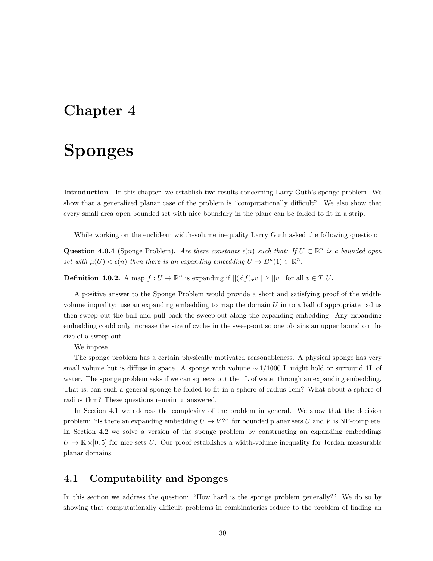## <span id="page-34-0"></span>Chapter 4

# Sponges

Introduction In this chapter, we establish two results concerning Larry Guth's sponge problem. We show that a generalized planar case of the problem is "computationally difficult". We also show that every small area open bounded set with nice boundary in the plane can be folded to fit in a strip.

While working on the euclidean width-volume inequality Larry Guth asked the following question:

Question 4.0.4 (Sponge Problem). Are there constants  $\epsilon(n)$  such that: If  $U \subset \mathbb{R}^n$  is a bounded open set with  $\mu(U) < \epsilon(n)$  then there is an expanding embedding  $U \to B^n(1) \subset \mathbb{R}^n$ .

**Definition 4.0.2.** A map  $f: U \to \mathbb{R}^n$  is expanding if  $||(df)_xv|| \ge ||v||$  for all  $v \in T_xU$ .

A positive answer to the Sponge Problem would provide a short and satisfying proof of the widthvolume inquality: use an expanding embedding to map the domain  $U$  in to a ball of appropriate radius then sweep out the ball and pull back the sweep-out along the expanding embedding. Any expanding embedding could only increase the size of cycles in the sweep-out so one obtains an upper bound on the size of a sweep-out.

We impose

The sponge problem has a certain physically motivated reasonableness. A physical sponge has very small volume but is diffuse in space. A sponge with volume ∼ 1/1000 L might hold or surround 1L of water. The sponge problem asks if we can squeeze out the 1L of water through an expanding embedding. That is, can such a general sponge be folded to fit in a sphere of radius 1cm? What about a sphere of radius 1km? These questions remain unanswered.

In Section [4.1](#page-34-1) we address the complexity of the problem in general. We show that the decision problem: "Is there an expanding embedding  $U \to V$ ?" for bounded planar sets U and V is NP-complete. In Section [4.2](#page-36-0) we solve a version of the sponge problem by constructing an expanding embeddings  $U \to \mathbb{R} \times [0, 5]$  for nice sets U. Our proof establishes a width-volume inequality for Jordan measurable planar domains.

#### <span id="page-34-1"></span>4.1 Computability and Sponges

In this section we address the question: "How hard is the sponge problem generally?" We do so by showing that computationally difficult problems in combinatorics reduce to the problem of finding an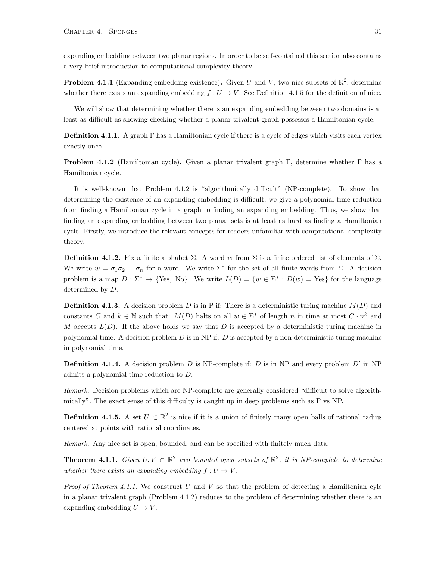expanding embedding between two planar regions. In order to be self-contained this section also contains a very brief introduction to computational complexity theory.

**Problem 4.1.1** (Expanding embedding existence). Given U and V, two nice subsets of  $\mathbb{R}^2$ , determine whether there exists an expanding embedding  $f: U \to V$ . See Definition [4.1.5](#page-35-0) for the definition of nice.

We will show that determining whether there is an expanding embedding between two domains is at least as difficult as showing checking whether a planar trivalent graph possesses a Hamiltonian cycle.

Definition 4.1.1. A graph Γ has a Hamiltonian cycle if there is a cycle of edges which visits each vertex exactly once.

<span id="page-35-1"></span>**Problem 4.1.2** (Hamiltonian cycle). Given a planar trivalent graph Γ, determine whether Γ has a Hamiltonian cycle.

It is well-known that Problem [4.1.2](#page-35-1) is "algorithmically difficult" (NP-complete). To show that determining the existence of an expanding embedding is difficult, we give a polynomial time reduction from finding a Hamiltonian cycle in a graph to finding an expanding embedding. Thus, we show that finding an expanding embedding between two planar sets is at least as hard as finding a Hamiltonian cycle. Firstly, we introduce the relevant concepts for readers unfamiliar with computational complexity theory.

**Definition 4.1.2.** Fix a finite alphabet Σ. A word w from Σ is a finite ordered list of elements of Σ. We write  $w = \sigma_1 \sigma_2 \dots \sigma_n$  for a word. We write  $\Sigma^*$  for the set of all finite words from  $\Sigma$ . A decision problem is a map  $D : \Sigma^* \to \{\text{Yes, No}\}\$ . We write  $L(D) = \{w \in \Sigma^* : D(w) = \text{Yes}\}\$  for the language determined by D.

**Definition 4.1.3.** A decision problem D is in P if: There is a deterministic turing machine  $M(D)$  and constants C and  $k \in \mathbb{N}$  such that:  $M(D)$  halts on all  $w \in \Sigma^*$  of length n in time at most  $C \cdot n^k$  and M accepts  $L(D)$ . If the above holds we say that D is accepted by a deterministic turing machine in polynomial time. A decision problem  $D$  is in NP if:  $D$  is accepted by a non-deterministic turing machine in polynomial time.

**Definition 4.1.4.** A decision problem  $D$  is NP-complete if:  $D$  is in NP and every problem  $D'$  in NP admits a polynomial time reduction to D.

Remark. Decision problems which are NP-complete are generally considered "difficult to solve algorithmically". The exact sense of this difficulty is caught up in deep problems such as P vs NP.

<span id="page-35-0"></span>**Definition 4.1.5.** A set  $U \subset \mathbb{R}^2$  is nice if it is a union of finitely many open balls of rational radius centered at points with rational coordinates.

Remark. Any nice set is open, bounded, and can be specified with finitely much data.

<span id="page-35-2"></span>**Theorem 4.1.1.** Given  $U, V \subset \mathbb{R}^2$  two bounded open subsets of  $\mathbb{R}^2$ , it is NP-complete to determine whether there exists an expanding embedding  $f: U \to V$ .

*Proof of Theorem [4.1.1.](#page-35-2)* We construct U and V so that the problem of detecting a Hamiltonian cyle in a planar trivalent graph (Problem [4.1.2\)](#page-35-1) reduces to the problem of determining whether there is an expanding embedding  $U \rightarrow V$ .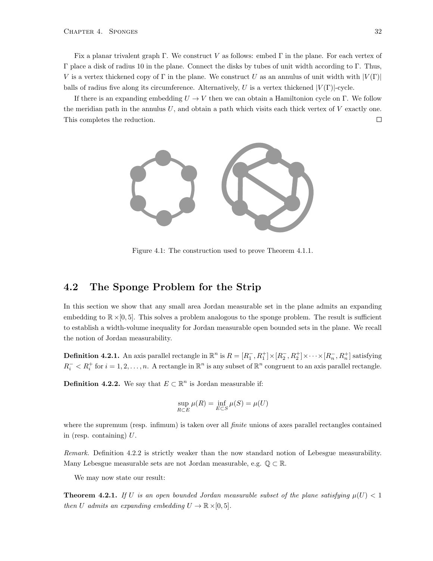Fix a planar trivalent graph Γ. We construct V as follows: embed Γ in the plane. For each vertex of  $Γ$  place a disk of radius 10 in the plane. Connect the disks by tubes of unit width according to Γ. Thus, V is a vertex thickened copy of Γ in the plane. We construct U as an annulus of unit width with  $|V(\Gamma)|$ balls of radius five along its circumference. Alternatively, U is a vertex thickened  $|V(\Gamma)|$ -cycle.

If there is an expanding embedding  $U \to V$  then we can obtain a Hamiltonion cycle on Γ. We follow the meridian path in the annulus  $U$ , and obtain a path which visits each thick vertex of  $V$  exactly one. This completes the reduction.  $\Box$ 



Figure 4.1: The construction used to prove Theorem [4.1.1.](#page-35-2)

#### <span id="page-36-0"></span>4.2 The Sponge Problem for the Strip

In this section we show that any small area Jordan measurable set in the plane admits an expanding embedding to  $\mathbb{R} \times [0, 5]$ . This solves a problem analogous to the sponge problem. The result is sufficient to establish a width-volume inequality for Jordan measurable open bounded sets in the plane. We recall the notion of Jordan measurability.

**Definition 4.2.1.** An axis parallel rectangle in  $\mathbb{R}^n$  is  $R = [R_1^-, R_1^+] \times [R_2^-, R_2^+] \times \cdots \times [R_n^-, R_n^+]$  satisfying  $R_i^- < R_i^+$  for  $i = 1, 2, ..., n$ . A rectangle in  $\mathbb{R}^n$  is any subset of  $\mathbb{R}^n$  congruent to an axis parallel rectangle.

<span id="page-36-1"></span>**Definition 4.2.2.** We say that  $E \subset \mathbb{R}^n$  is Jordan measurable if:

$$
\sup_{R\subset E}\mu(R)=\inf_{E\subset S}\mu(S)=\mu(U)
$$

where the supremum (resp. infimum) is taken over all *finite* unions of axes parallel rectangles contained in (resp. containing)  $U$ .

Remark. Definition [4.2.2](#page-36-1) is strictly weaker than the now standard notion of Lebesgue measurability. Many Lebesgue measurable sets are not Jordan measurable, e.g.  $\mathbb{Q} \subset \mathbb{R}$ .

We may now state our result:

<span id="page-36-2"></span>**Theorem 4.2.1.** If U is an open bounded Jordan measurable subset of the plane satisfying  $\mu(U) < 1$ then U admits an expanding embedding  $U \to \mathbb{R} \times [0, 5]$ .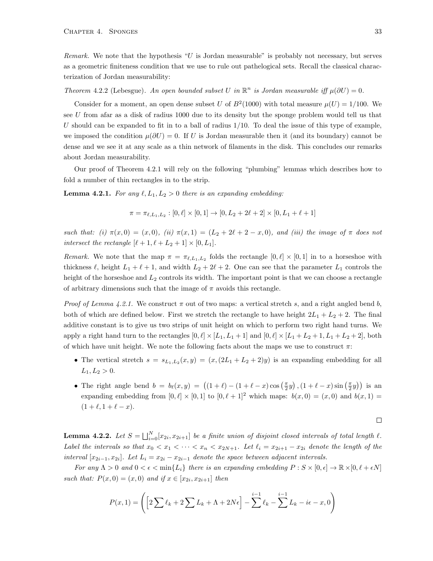Remark. We note that the hypothesis "U is Jordan measurable" is probably not necessary, but serves as a geometric finiteness condition that we use to rule out pathelogical sets. Recall the classical characterization of Jordan measurability:

#### Theorem 4.2.2 (Lebesgue). An open bounded subset U in  $\mathbb{R}^n$  is Jordan measurable iff  $\mu(\partial U) = 0$ .

Consider for a moment, an open dense subset U of  $B^2(1000)$  with total measure  $\mu(U) = 1/100$ . We see U from afar as a disk of radius 1000 due to its density but the sponge problem would tell us that U should can be expanded to fit in to a ball of radius  $1/10$ . To deal the issue of this type of example, we imposed the condition  $\mu(\partial U) = 0$ . If U is Jordan measurable then it (and its boundary) cannot be dense and we see it at any scale as a thin network of filaments in the disk. This concludes our remarks about Jordan measurability.

Our proof of Theorem [4.2.1](#page-36-2) will rely on the following "plumbing" lemmas which describes how to fold a number of thin rectangles in to the strip.

<span id="page-37-0"></span>**Lemma 4.2.1.** For any  $\ell, L_1, L_2 > 0$  there is an expanding embedding:

$$
\pi = \pi_{\ell, L_1, L_2} : [0, \ell] \times [0, 1] \to [0, L_2 + 2\ell + 2] \times [0, L_1 + \ell + 1]
$$

such that: (i)  $\pi(x, 0) = (x, 0)$ , (ii)  $\pi(x, 1) = (L_2 + 2\ell + 2 - x, 0)$ , and (iii) the image of  $\pi$  does not intersect the rectangle  $[\ell + 1, \ell + L_2 + 1] \times [0, L_1].$ 

Remark. We note that the map  $\pi = \pi_{\ell,L_1,L_2}$  folds the rectangle  $[0,\ell] \times [0,1]$  in to a horseshoe with thickness  $\ell$ , height  $L_1 + \ell + 1$ , and width  $L_2 + 2\ell + 2$ . One can see that the parameter  $L_1$  controls the height of the horseshoe and  $L_2$  controls its width. The important point is that we can choose a rectangle of arbitrary dimensions such that the image of  $\pi$  avoids this rectangle.

*Proof of Lemma [4.2.1.](#page-37-0)* We construct  $\pi$  out of two maps: a vertical stretch s, and a right angled bend b, both of which are defined below. First we stretch the rectangle to have height  $2L_1 + L_2 + 2$ . The final additive constant is to give us two strips of unit height on which to perform two right hand turns. We apply a right hand turn to the rectangles  $[0, \ell] \times [L_1, L_1 + 1]$  and  $[0, \ell] \times [L_1 + L_2 + 1, L_1 + L_2 + 2]$ , both of which have unit height. We note the following facts about the maps we use to construct  $\pi$ :

- The vertical stretch  $s = s_{L_1,L_2}(x,y) = (x,(2L_1 + L_2 + 2)y)$  is an expanding embedding for all  $L_1, L_2 > 0.$
- The right angle bend  $b = b_{\ell}(x, y) = ((1 + \ell) (1 + \ell x) \cos(\frac{\pi}{2}y), (1 + \ell x) \sin(\frac{\pi}{2}y))$  is an expanding embedding from  $[0, \ell] \times [0, 1]$  to  $[0, \ell + 1]^2$  which maps:  $b(x, 0) = (x, 0)$  and  $b(x, 1) =$  $(1 + \ell, 1 + \ell - x).$

$$
\Box
$$

<span id="page-37-1"></span>**Lemma 4.2.2.** Let  $S = \bigsqcup_{i=0}^{N} [x_{2i}, x_{2i+1}]$  be a finite union of disjoint closed intervals of total length  $\ell$ . Label the intervals so that  $x_0 < x_1 < \cdots < x_n < x_{2N+1}$ . Let  $\ell_i = x_{2i+1} - x_{2i}$  denote the length of the interval  $[x_{2i-1}, x_{2i}]$ . Let  $L_i = x_{2i} - x_{2i-1}$  denote the space between adjacent intervals.

For any  $\Lambda > 0$  and  $0 < \epsilon < \min\{L_i\}$  there is an expanding embedding  $P : S \times [0, \epsilon] \to \mathbb{R} \times [0, \ell + \epsilon N]$ such that:  $P(x, 0) = (x, 0)$  and if  $x \in [x_{2i}, x_{2i+1}]$  then

$$
P(x,1) = \left( \left[ 2\sum \ell_k + 2\sum L_k + \Lambda + 2N\epsilon \right] - \sum_{k=1}^{i-1} \ell_k - \sum_{k=1}^{i-1} L_k - i\epsilon - x, 0 \right)
$$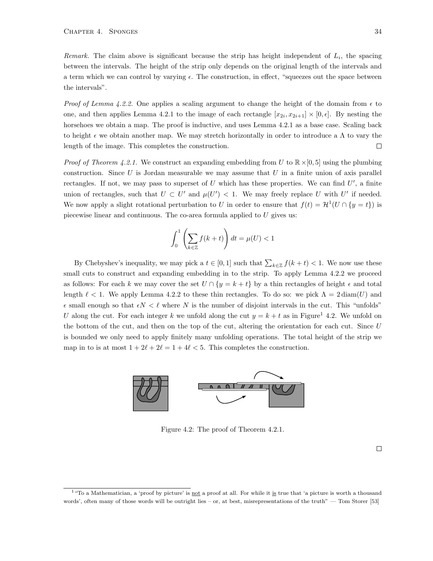Remark. The claim above is significant because the strip has height independent of  $L_i$ , the spacing between the intervals. The height of the strip only depends on the original length of the intervals and a term which we can control by varying  $\epsilon$ . The construction, in effect, "squeezes out the space between the intervals".

*Proof of Lemma [4.2.2.](#page-37-1)* One applies a scaling argument to change the height of the domain from  $\epsilon$  to one, and then applies Lemma [4.2.1](#page-37-0) to the image of each rectangle  $[x_{2i}, x_{2i+1}] \times [0, \epsilon]$ . By nesting the horsehoes we obtain a map. The proof is inductive, and uses Lemma [4.2.1](#page-37-0) as a base case. Scaling back to height  $\epsilon$  we obtain another map. We may stretch horizontally in order to introduce a  $\Lambda$  to vary the length of the image. This completes the construction.  $\Box$ 

*Proof of Theorem [4.2.1.](#page-36-2)* We construct an expanding embedding from U to  $\mathbb{R} \times [0,5]$  using the plumbing construction. Since  $U$  is Jordan measurable we may assume that  $U$  in a finite union of axis parallel rectangles. If not, we may pass to superset of  $U$  which has these properties. We can find  $U'$ , a finite union of rectangles, such that  $U \subset U'$  and  $\mu(U') < 1$ . We may freely replace U with U' if needed. We now apply a slight rotational perturbation to U in order to ensure that  $f(t) = H^1(U \cap \{y = t\})$  is piecewise linear and continuous. The co-area formula applied to  $U$  gives us:

$$
\int_0^1 \left(\sum_{k\in\mathbb{Z}} f(k+t)\right) dt = \mu(U) < 1
$$

By Chebyshev's inequality, we may pick a  $t \in [0,1]$  such that  $\sum_{k \in \mathbb{Z}} f(k+t) < 1$ . We now use these small cuts to construct and expanding embedding in to the strip. To apply Lemma [4.2.2](#page-37-1) we proceed as follows: For each k we may cover the set  $U \cap \{y = k + t\}$  by a thin rectangles of height  $\epsilon$  and total length  $\ell < 1$ . We apply Lemma [4.2.2](#page-37-1) to these thin rectangles. To do so: we pick  $\Lambda = 2 \text{diam}(U)$  and  $\epsilon$  small enough so that  $\epsilon N < \ell$  where N is the number of disjoint intervals in the cut. This "unfolds" U along the cut. For each integer k we unfold along the cut  $y = k + t$  as in Figure<sup>[1](#page-0-0)</sup> [4.2.](#page-37-1) We unfold on the bottom of the cut, and then on the top of the cut, altering the orientation for each cut. Since  $U$ is bounded we only need to apply finitely many unfolding operations. The total height of the strip we map in to is at most  $1 + 2\ell + 2\ell = 1 + 4\ell < 5$ . This completes the construction.



<span id="page-38-0"></span>Figure 4.2: The proof of Theorem [4.2.1.](#page-36-2)

 $\Box$ 

 $1$  "To a Mathematician, a 'proof by picture' is not a proof at all. For while it is true that 'a picture is worth a thousand words', often many of those words will be outright lies – or, at best, misrepresentations of the truth" — Tom Storer [\[53\]](#page-42-4)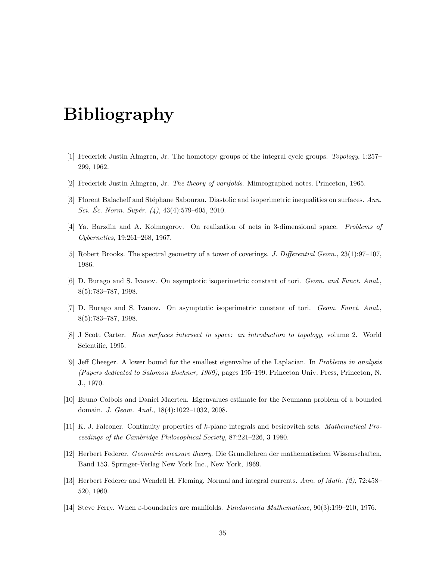# Bibliography

- <span id="page-39-10"></span>[1] Frederick Justin Almgren, Jr. The homotopy groups of the integral cycle groups. Topology, 1:257– 299, 1962.
- <span id="page-39-5"></span>[2] Frederick Justin Almgren, Jr. The theory of varifolds. Mimeographed notes. Princeton, 1965.
- <span id="page-39-2"></span>[3] Florent Balacheff and Stéphane Sabourau. Diastolic and isoperimetric inequalities on surfaces. Ann. Sci. Éc. Norm. Supér.  $(4)$ , 43 $(4)$ :579–605, 2010.
- <span id="page-39-0"></span>[4] Ya. Barzdin and A. Kolmogorov. On realization of nets in 3-dimensional space. Problems of Cybernetics, 19:261–268, 1967.
- <span id="page-39-3"></span>[5] Robert Brooks. The spectral geometry of a tower of coverings. J. Differential Geom., 23(1):97–107, 1986.
- <span id="page-39-1"></span>[6] D. Burago and S. Ivanov. On asymptotic isoperimetric constant of tori. Geom. and Funct. Anal., 8(5):783–787, 1998.
- <span id="page-39-11"></span>[7] D. Burago and S. Ivanov. On asymptotic isoperimetric constant of tori. Geom. Funct. Anal., 8(5):783–787, 1998.
- <span id="page-39-12"></span>[8] J Scott Carter. How surfaces intersect in space: an introduction to topology, volume 2. World Scientific, 1995.
- <span id="page-39-4"></span>[9] Jeff Cheeger. A lower bound for the smallest eigenvalue of the Laplacian. In Problems in analysis (Papers dedicated to Salomon Bochner, 1969), pages 195–199. Princeton Univ. Press, Princeton, N. J., 1970.
- <span id="page-39-6"></span>[10] Bruno Colbois and Daniel Maerten. Eigenvalues estimate for the Neumann problem of a bounded domain. J. Geom. Anal., 18(4):1022–1032, 2008.
- <span id="page-39-7"></span>[11] K. J. Falconer. Continuity properties of k-plane integrals and besicovitch sets. Mathematical Proceedings of the Cambridge Philosophical Society, 87:221–226, 3 1980.
- <span id="page-39-9"></span>[12] Herbert Federer. Geometric measure theory. Die Grundlehren der mathematischen Wissenschaften, Band 153. Springer-Verlag New York Inc., New York, 1969.
- <span id="page-39-8"></span>[13] Herbert Federer and Wendell H. Fleming. Normal and integral currents. Ann. of Math. (2), 72:458– 520, 1960.
- <span id="page-39-13"></span>[14] Steve Ferry. When ε-boundaries are manifolds. Fundamenta Mathematicae, 90(3):199–210, 1976.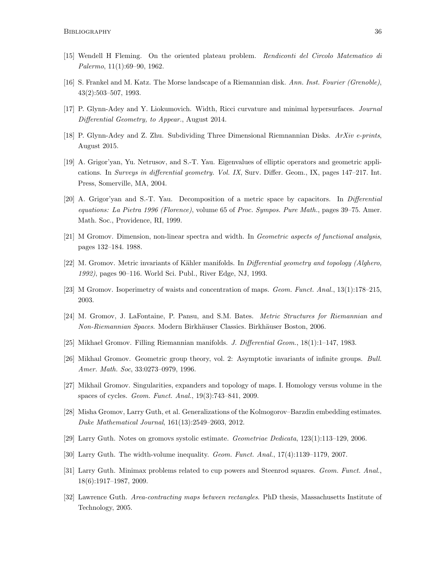- <span id="page-40-17"></span>[15] Wendell H Fleming. On the oriented plateau problem. Rendiconti del Circolo Matematico di Palermo, 11(1):69–90, 1962.
- <span id="page-40-2"></span>[16] S. Frankel and M. Katz. The Morse landscape of a Riemannian disk. Ann. Inst. Fourier (Grenoble), 43(2):503–507, 1993.
- <span id="page-40-0"></span>[17] P. Glynn-Adey and Y. Liokumovich. Width, Ricci curvature and minimal hypersurfaces. Journal Differential Geometry, to Appear., August 2014.
- <span id="page-40-1"></span>[18] P. Glynn-Adey and Z. Zhu. Subdividing Three Dimensional Riemnannian Disks. ArXiv e-prints, August 2015.
- <span id="page-40-11"></span>[19] A. Grigor'yan, Yu. Netrusov, and S.-T. Yau. Eigenvalues of elliptic operators and geometric applications. In Surveys in differential geometry. Vol. IX, Surv. Differ. Geom., IX, pages 147–217. Int. Press, Somerville, MA, 2004.
- <span id="page-40-10"></span>[20] A. Grigor'yan and S.-T. Yau. Decomposition of a metric space by capacitors. In Differential equations: La Pietra 1996 (Florence), volume 65 of Proc. Sympos. Pure Math., pages 39–75. Amer. Math. Soc., Providence, RI, 1999.
- <span id="page-40-6"></span>[21] M Gromov. Dimension, non-linear spectra and width. In Geometric aspects of functional analysis, pages 132–184. 1988.
- <span id="page-40-12"></span>[22] M. Gromov. Metric invariants of Kähler manifolds. In *Differential geometry and topology (Alghero,* 1992), pages 90–116. World Sci. Publ., River Edge, NJ, 1993.
- <span id="page-40-15"></span>[23] M Gromov. Isoperimetry of waists and concentration of maps. Geom. Funct. Anal., 13(1):178–215, 2003.
- <span id="page-40-16"></span>[24] M. Gromov, J. LaFontaine, P. Pansu, and S.M. Bates. Metric Structures for Riemannian and Non-Riemannian Spaces. Modern Birkhäuser Classics. Birkhäuser Boston, 2006.
- <span id="page-40-8"></span>[25] Mikhael Gromov. Filling Riemannian manifolds. J. Differential Geom., 18(1):1–147, 1983.
- <span id="page-40-7"></span>[26] Mikhaıl Gromov. Geometric group theory, vol. 2: Asymptotic invariants of infinite groups. Bull. Amer. Math. Soc, 33:0273–0979, 1996.
- <span id="page-40-13"></span>[27] Mikhail Gromov. Singularities, expanders and topology of maps. I. Homology versus volume in the spaces of cycles. Geom. Funct. Anal., 19(3):743–841, 2009.
- <span id="page-40-3"></span>[28] Misha Gromov, Larry Guth, et al. Generalizations of the Kolmogorov–Barzdin embedding estimates. Duke Mathematical Journal, 161(13):2549–2603, 2012.
- <span id="page-40-14"></span>[29] Larry Guth. Notes on gromovs systolic estimate. Geometriae Dedicata, 123(1):113–129, 2006.
- <span id="page-40-4"></span>[30] Larry Guth. The width-volume inequality. Geom. Funct. Anal., 17(4):1139–1179, 2007.
- <span id="page-40-9"></span>[31] Larry Guth. Minimax problems related to cup powers and Steenrod squares. Geom. Funct. Anal., 18(6):1917–1987, 2009.
- <span id="page-40-5"></span>[32] Lawrence Guth. Area-contracting maps between rectangles. PhD thesis, Massachusetts Institute of Technology, 2005.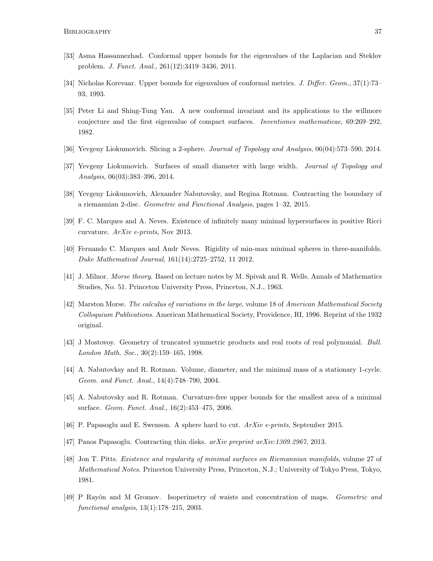- <span id="page-41-8"></span>[33] Asma Hassannezhad. Conformal upper bounds for the eigenvalues of the Laplacian and Steklov problem. J. Funct. Anal., 261(12):3419–3436, 2011.
- <span id="page-41-7"></span>[34] Nicholas Korevaar. Upper bounds for eigenvalues of conformal metrics. J. Differ. Geom., 37(1):73– 93, 1993.
- <span id="page-41-9"></span>[35] Peter Li and Shing-Tung Yau. A new conformal invariant and its applications to the willmore conjecture and the first eigenvalue of compact surfaces. Inventiones mathematicae, 69:269–292, 1982.
- <span id="page-41-13"></span>[36] Yevgeny Liokumovich. Slicing a 2-sphere. Journal of Topology and Analysis, 06(04):573–590, 2014.
- <span id="page-41-3"></span>[37] Yevgeny Liokumovich. Surfaces of small diameter with large width. Journal of Topology and Analysis, 06(03):383–396, 2014.
- <span id="page-41-4"></span>[38] Yevgeny Liokumovich, Alexander Nabutovsky, and Regina Rotman. Contracting the boundary of a riemannian 2-disc. Geometric and Functional Analysis, pages 1–32, 2015.
- <span id="page-41-2"></span>[39] F. C. Marques and A. Neves. Existence of infinitely many minimal hypersurfaces in positive Ricci curvature. ArXiv e-prints, Nov 2013.
- <span id="page-41-12"></span>[40] Fernando C. Marques and Andr Neves. Rigidity of min-max minimal spheres in three-manifolds. Duke Mathematical Journal, 161(14):2725–2752, 11 2012.
- <span id="page-41-14"></span>[41] J. Milnor. Morse theory. Based on lecture notes by M. Spivak and R. Wells. Annals of Mathematics Studies, No. 51. Princeton University Press, Princeton, N.J., 1963.
- <span id="page-41-16"></span>[42] Marston Morse. The calculus of variations in the large, volume 18 of American Mathematical Society Colloquium Publications. American Mathematical Society, Providence, RI, 1996. Reprint of the 1932 original.
- <span id="page-41-15"></span>[43] J Mostovoy. Geometry of truncated symmetric products and real roots of real polynomial. Bull. London Math. Soc., 30(2):159–165, 1998.
- <span id="page-41-11"></span>[44] A. Nabutovksy and R. Rotman. Volume, diameter, and the minimal mass of a stationary 1-cycle. Geom. and Funct. Anal., 14(4):748–790, 2004.
- <span id="page-41-6"></span>[45] A. Nabutovsky and R. Rotman. Curvature-free upper bounds for the smallest area of a minimal surface. Geom. Funct. Anal., 16(2):453–475, 2006.
- <span id="page-41-5"></span>[46] P. Papasoglu and E. Swenson. A sphere hard to cut.  $ArXiv$  e-prints, September 2015.
- <span id="page-41-0"></span>[47] Panos Papasoglu. Contracting thin disks. arXiv preprint arXiv:1309.2967, 2013.
- <span id="page-41-1"></span>[48] Jon T. Pitts. Existence and regularity of minimal surfaces on Riemannian manifolds, volume 27 of Mathematical Notes. Princeton University Press, Princeton, N.J.; University of Tokyo Press, Tokyo, 1981.
- <span id="page-41-10"></span>[49] P Ray´on and M Gromov. Isoperimetry of waists and concentration of maps. Geometric and functional analysis, 13(1):178–215, 2003.